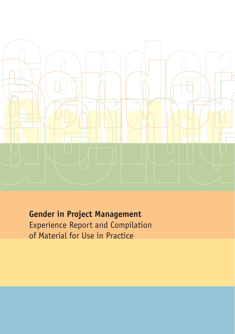

**Gender Mainstreaming in Project Management Experience Report and Compilation Propelis Contact Set in Practice**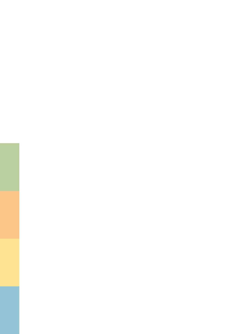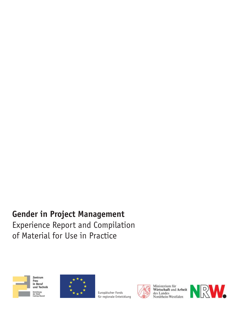### **Gender in Project Management** Experience Report and Compilation of Material for Use in Practice





Europäischer Fonds für regionale Entwicklung



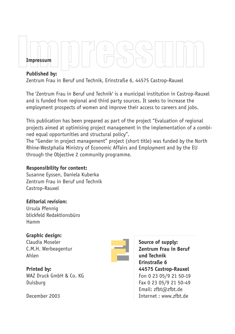## I**Impressum** MPCSSUM

#### **Published by:**

Zentrum Frau in Beruf und Technik, Erinstraße 6, 44575 Castrop-Rauxel

The 'Zentrum Frau in Beruf und Technik' is a municipal institution in Castrop-Rauxel and is funded from regional and third party sources. It seeks to increase the employment prospects of women and improve their access to careers and jobs.

This publication has been prepared as part of the project "Evaluation of regional projects aimed at optimising project management in the implementation of a combined equal opportunities and structural policy".

The "Gender in project management" project (short title) was funded by the North Rhine-Westphalia Ministry of Economic Affairs and Employment and by the EU through the Objective 2 community programme.

#### **Responsibility for content:**

Susanne Eyssen, Daniela Kuberka Zentrum Frau in Beruf und Technik Castrop-Rauxel

#### **Editorial revision:**

Ursula Pfennig blickfeld Redaktionsbüro Hamm

#### **Graphic design:**

Claudia Moseler C.M.H. Werbeagentur Ahlen

**Printed by:** WAZ Druck GmbH & Co. KG Duisburg

December 2003



**Source of supply: Zentrum Frau in Beruf und Technik Erinstraße 6 44575 Castrop-Rauxel** Fon 0 23 05/9 21 50-19 Fax 0 23 05/9 21 50-49 Email: zfbt@zfbt.de Internet : www.zfbt.de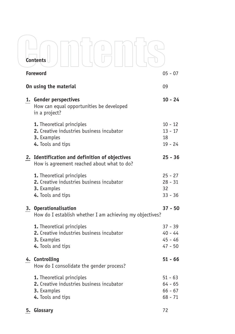# Contents **Ontary Contracts**

| <b>Foreword</b> |                                                                                                            | $05 - 07$                                        |
|-----------------|------------------------------------------------------------------------------------------------------------|--------------------------------------------------|
|                 | On using the material                                                                                      | 09                                               |
|                 | 1. Gender perspectives<br>How can equal opportunities be developed<br>in a project?                        | $10 - 24$                                        |
|                 | 1. Theoretical principles<br>2. Creative industries business incubator<br>3. Examples<br>4. Tools and tips | $10 - 12$<br>$13 - 17$<br>18<br>$19 - 24$        |
|                 | 2. Identification and definition of objectives<br>How is agreement reached about what to do?               | $25 - 36$                                        |
|                 | 1. Theoretical principles<br>2. Creative industries business incubator<br>3. Examples<br>4. Tools and tips | $25 - 27$<br>$28 - 31$<br>32<br>$33 - 36$        |
|                 | 3. Operationalisation<br>How do I establish whether I am achieving my objectives?                          | $37 - 50$                                        |
|                 | 1. Theoretical principles<br>2. Creative industries business incubator<br>3. Examples<br>4. Tools and tips | $37 - 39$<br>$40 - 44$<br>$45 - 46$<br>$47 - 50$ |
|                 | 4. Controlling<br>How do I consolidate the gender process?                                                 | $51 - 66$                                        |
|                 | 1. Theoretical principles<br>2. Creative industries business incubator<br>3. Examples<br>4. Tools and tips | $51 - 63$<br>$64 - 65$<br>$66 - 67$<br>$68 - 71$ |
|                 |                                                                                                            |                                                  |

**5. Glossary** 72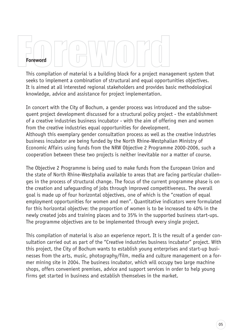## F**Foreword** oreword

This compilation of material is a building block for a project management system that seeks to implement a combination of structural and equal opportunities objectives. It is aimed at all interested regional stakeholders and provides basic methodological knowledge, advice and assistance for project implementation.

In concert with the City of Bochum, a gender process was introduced and the subsequent project development discussed for a structural policy project - the establishment of a creative industries business incubator - with the aim of offering men and women from the creative industries equal opportunities for development. Although this exemplary gender consultation process as well as the creative industries business incubator are being funded by the North Rhine-Westphalian Ministry of Economic Affairs using funds from the NRW Objective 2 Programme 2000-2006, such a cooperation between these two projects is neither inevitable nor a matter of course.

The Objective 2 Programme is being used to make funds from the European Union and the state of North Rhine-Westphalia available to areas that are facing particular challenges in the process of structural change. The focus of the current programme phase is on the creation and safeguarding of jobs through improved competitiveness. The overall goal is made up of four horizontal objectives, one of which is the "creation of equal employment opportunities for women and men". Quantitative indicators were formulated for this horizontal objective: the proportion of women is to be increased to 40% in the newly created jobs and training places and to 35% in the supported business start-ups. The programme objectives are to be implemented through every single project.

This compilation of material is also an experience report. It is the result of a gender consultation carried out as part of the "Creative industries business incubator" project. With this project, the City of Bochum wants to establish young enterprises and start-up businesses from the arts, music, photography/film, media and culture management on a former mining site in 2004. The business incubator, which will occupy two large machine shops, offers convenient premises, advice and support services in order to help young firms get started in business and establish themselves in the market.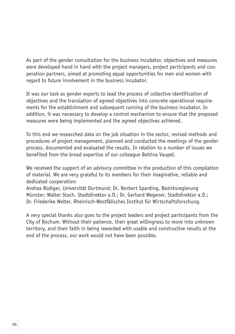As part of the gender consultation for the business incubator, objectives and measures were developed hand in hand with the project managers, project participants and cooperation partners, aimed at promoting equal opportunities for men and women with regard to future involvement in the business incubator.

It was our task as gender experts to lead the process of collective identification of objectives and the translation of agreed objectives into concrete operational requirements for the establishment and subsequent running of the business incubator. In addition, it was necessary to develop a control mechanism to ensure that the proposed measures were being implemented and the agreed objectives achieved.

To this end we researched data on the job situation in the sector, revised methods and procedures of project management, planned and conducted the meetings of the gender process, documented and evaluated the results. In relation to a number of issues we benefited from the broad expertise of our colleague Bettina Vaupel.

We received the support of an advisory committee in the production of this compilation of material. We are very grateful to its members for their imaginative, reliable and dedicated cooperation:

Andrea Rüdiger, Universität Dortmund; Dr. Norbert Sparding, Bezirksregierung Münster; Walter Stach, Stadtdirektor a.D.; Dr. Gerhard Wegener, Stadtdirektor a.D.; Dr. Friederike Welter, Rheinisch-Westfälisches Institut für Wirtschaftsforschung.

A very special thanks also goes to the project leaders and project participants from the City of Bochum. Without their patience, their great willingness to move into unknown territory, and their faith in being rewarded with usable and constructive results at the end of the process, our work would not have been possible.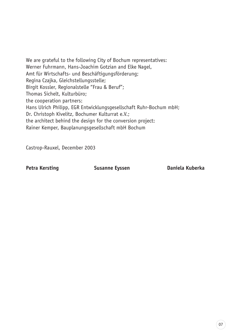We are grateful to the following City of Bochum representatives: Werner Fuhrmann, Hans-Joachim Gotzian and Elke Nagel, Amt für Wirtschafts- und Beschäftigungsförderung; Regina Czajka, Gleichstellungsstelle; Birgit Kossler, Regionalstelle "Frau & Beruf"; Thomas Sichelt, Kulturbüro; the cooperation partners: Hans Ulrich Philipp, EGR Entwicklungsgesellschaft Ruhr-Bochum mbH; Dr. Christoph Kivelitz, Bochumer Kulturrat e.V.; the architect behind the design for the conversion project: Rainer Kemper, Bauplanungsgesellschaft mbH Bochum

Castrop-Rauxel, December 2003

Petra Kersting **Susanne Eyssen** Daniela Kuberka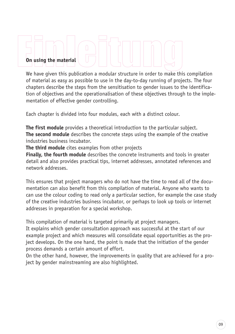## E**On using the material**  $\begin{tabular}{|c|c|c|} \hline \quad \quad & \quad \quad & \quad \quad & \quad \quad \\ \hline \end{tabular}$

We have given this publication a modular structure in order to make this compilation of material as easy as possible to use in the day-to-day running of projects. The four chapters describe the steps from the sensitisation to gender issues to the identification of objectives and the operationalisation of these objectives through to the implementation of effective gender controlling.

Each chapter is divided into four modules, each with a distinct colour.

**The first module** provides a theoretical introduction to the particular subject. **The second module** describes the concrete steps using the example of the creative industries business incubator.

**The third module** cites examples from other projects

**Finally, the fourth module** describes the concrete instruments and tools in greater detail and also provides practical tips, internet addresses, annotated references and network addresses.

This ensures that project managers who do not have the time to read all of the documentation can also benefit from this compilation of material. Anyone who wants to can use the colour coding to read only a particular section, for example the case study of the creative industries business incubator, or perhaps to look up tools or internet addresses in preparation for a special workshop.

This compilation of material is targeted primarily at project managers.

It explains which gender consultation approach was successful at the start of our example project and which measures will consolidate equal opportunities as the project develops. On the one hand, the point is made that the initiation of the gender process demands a certain amount of effort.

On the other hand, however, the improvements in quality that are achieved for a project by gender mainstreaming are also highlighted.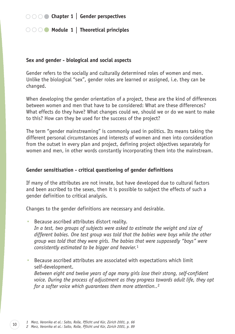**Module 1 Theoretical principles**

#### **Sex and gender - biological and social aspects**

Gender refers to the socially and culturally determined roles of women and men. Unlike the biological "sex", gender roles are learned or assigned, i.e. they can be changed.

When developing the gender orientation of a project, these are the kind of differences between women and men that have to be considered: What are these differences? What effects do they have? What changes could we, should we or do we want to make to this? How can they be used for the success of the project?

The term "gender mainstreaming" is commonly used in politics. Its means taking the different personal circumstances and interests of women and men into consideration from the outset in every plan and project, defining project objectives separately for women and men, in other words constantly incorporating them into the mainstream.

#### **Gender sensitisation - critical questioning of gender definitions**

If many of the attributes are not innate, but have developed due to cultural factors and been ascribed to the sexes, then it is possible to subject the effects of such a gender definition to critical analysis.

Changes to the gender definitions are necessary and desirable.

• Because ascribed attributes distort reality.

*In a test, two groups of subjects were asked to estimate the weight and size of different babies. One test group was told that the babies were boys while the other group was told that they were girls. The babies that were supposedly "boys" were consistently estimated to be bigger and heavier.*<sup>1</sup>

• Because ascribed attributes are associated with expectations which limit self-development.

*Between eight and twelve years of age many girls lose their strong, self-confident voice. During the process of adjustment as they progress towards adult life, they opt for a softer voice which guarantees them more attention..*<sup>2</sup>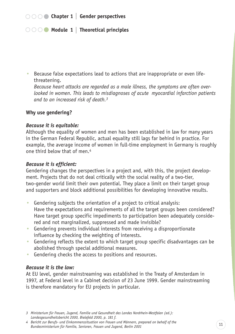#### **Module 1 Theoretical principles**

• Because false expectations lead to actions that are inappropriate or even lifethreatening.

*Because heart attacks are regarded as a male illness, the symptoms are often overlooked in women. This leads to misdiagnoses of acute myocardial infarction patients and to an increased risk of death.3*

#### **Why use gendering?**

#### *Because it is equitable:*

Although the equality of women and men has been established in law for many years in the German Federal Republic, actual equality still lags far behind in practice. For example, the average income of women in full-time employment in Germany is roughly one third below that of men.4

#### *Because it is efficient:*

Gendering changes the perspectives in a project and, with this, the project development. Projects that do not deal critically with the social reality of a two-tier, two-gender world limit their own potential. They place a limit on their target group and supporters and block additional possibilities for developing innovative results.

- Gendering subjects the orientation of a project to critical analysis: Have the expectations and requirements of all the target groups been considered? Have target group specific impediments to participation been adequately considered and not marginalized, suppressed and made invisible?
- Gendering prevents individual interests from receiving a disproportionate influence by checking the weighting of interests.
- Gendering reflects the extent to which target group specific disadvantages can be abolished through special additional measures.
- Gendering checks the access to positions and resources.

#### *Because it is the law:*

At EU level, gender mainstreaming was established in the Treaty of Amsterdam in 1997, at Federal level in a Cabinet decision of 23 June 1999. Gender mainstreaming is therefore mandatory for EU projects in particular.

*<sup>3</sup> Ministerium für Frauen, Jugend, Familie und Gesundheit des Landes Nordrhein-Westfalen (ed.): Landesgesundheitsbericht 2000, Bielefeld 2000, p. 181 f.*

*<sup>4</sup> Bericht zur Berufs- und Einkommenssituation von Frauen und Männern, prepared on behalf of the Bundesministerium für Familie, Senioren, Frauen und Jugend, Berlin 2001*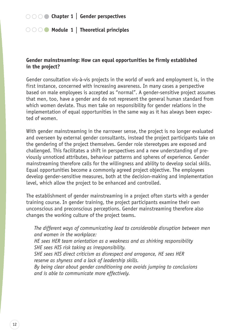**Module 1 Theoretical principles**

#### **Gender mainstreaming: How can equal opportunities be firmly established in the project?**

Gender consultation vis-à-vis projects in the world of work and employment is, in the first instance, concerned with increasing awareness. In many cases a perspective based on male employees is accepted as "normal". A gender-sensitive project assumes that men, too, have a gender and do not represent the general human standard from which women deviate. Thus men take on responsibility for gender relations in the implementation of equal opportunities in the same way as it has always been expected of women.

With gender mainstreaming in the narrower sense, the project is no longer evaluated and overseen by external gender consultants, instead the project participants take on the gendering of the project themselves. Gender role stereotypes are exposed and challenged. This facilitates a shift in perspectives and a new understanding of previously unnoticed attributes, behaviour patterns and spheres of experience. Gender mainstreaming therefore calls for the willingness and ability to develop social skills. Equal opportunities become a commonly agreed project objective. The employees develop gender-sensitive measures, both at the decision-making and implementation level, which allow the project to be enhanced and controlled.

The establishment of gender mainstreaming in a project often starts with a gender training course. In gender training, the project participants examine their own unconscious and preconscious perceptions. Gender mainstreaming therefore also changes the working culture of the project teams.

*The different ways of communicating lead to considerable disruption between men and women in the workplace:*

*HE sees HER team orientation as a weakness and as shirking responsibility SHE sees HIS risk taking as irresponsibility.*

*SHE sees HIS direct criticism as disrespect and arrogance, HE sees HER reserve as shyness and a lack of leadership skills.*

*By being clear about gender conditioning one avoids jumping to conclusions and is able to communicate more effectively.*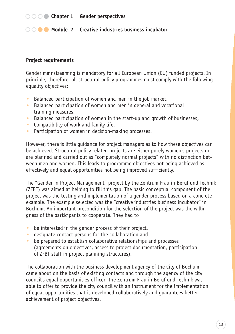#### **Module 2 Creative industries business incubator**

#### **Project requirements**

Gender mainstreaming is mandatory for all European Union (EU) funded projects. In principle, therefore, all structural policy programmes must comply with the following equality objectives:

- Balanced participation of women and men in the job market,
- Balanced participation of women and men in general and vocational training measures,
- Balanced participation of women in the start-up and growth of businesses,
- Compatibility of work and family life,
- Participation of women in decision-making processes.

However, there is little guidance for project managers as to how these objectives can be achieved. Structural policy related projects are either purely women's projects or are planned and carried out as "completely normal projects" with no distinction between men and women. This leads to programme objectives not being achieved as effectively and equal opportunities not being improved sufficiently.

The "Gender in Project Management" project by the Zentrum Frau in Beruf und Technik (ZFBT) was aimed at helping to fill this gap. The basic conceptual component of the project was the testing and implementation of a gender process based on a concrete example. The example selected was the "creative industries business incubator" in Bochum. An important precondition for the selection of the project was the willingness of the participants to cooperate. They had to

- be interested in the gender process of their project,
- designate contact persons for the collaboration and
- be prepared to establish collaborative relationships and processes (agreements on objectives, access to project documentation, participation of ZFBT staff in project planning structures).

The collaboration with the business development agency of the City of Bochum came about on the basis of existing contacts and through the agency of the city council's equal opportunities officer. The Zentrum Frau in Beruf und Technik was able to offer to provide the city council with an instrument for the implementation of equal opportunities that is developed collaboratively and guarantees better achievement of project objectives.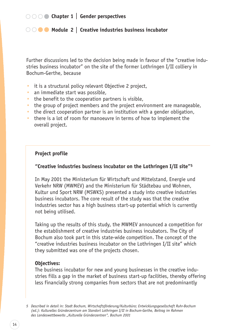#### **Module 2 Creative industries business incubator**

Further discussions led to the decision being made in favour of the "creative industries business incubator" on the site of the former Lothringen I/II colliery in Bochum-Gerthe, because

- it is a structural policy relevant Objective 2 project,
- an immediate start was possible,
- the benefit to the cooperation partners is visible,
- the group of project members and the project environment are manageable,
- the direct cooperation partner is an institution with a gender obligation,
- there is a lot of room for manoeuvre in terms of how to implement the overall project.

#### **Project profile**

#### **"Creative industries business incubator on the Lothringen I/II site"5**

In May 2001 the Ministerium für Wirtschaft und Mittelstand, Energie und Verkehr NRW (MWMEV) and the Ministerium für Städtebau und Wohnen, Kultur und Sport NRW (MSWKS) presented a study into creative industries business incubators. The core result of the study was that the creative industries sector has a high business start-up potential which is currently not being utilised.

Taking up the results of this study, the MWMEV announced a competition for the establishment of creative industries business incubators. The City of Bochum also took part in this state-wide competition. The concept of the "creative industries business incubator on the Lothringen I/II site" which they submitted was one of the projects chosen.

#### **Objectives:**

The business incubator for new and young businesses in the creative industries fills a gap in the market of business start-up facilities, thereby offering less financially strong companies from sectors that are not predominantly

*<sup>5</sup> Described in detail in: Stadt Bochum, Wirtschaftsförderung/Kulturbüro; Entwicklungsgesellschaft Ruhr-Bochum (ed.): Kulturelles Gründerzentrum am Standort Lothringen I/II in Bochum-Gerthe, Beitrag im Rahmen des Landeswettbewerbs "Kulturelle Gründerzentren", Bochum 2001*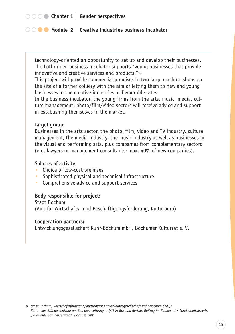**Module 2 Creative industries business incubator**

technology-oriented an opportunity to set up and develop their businesses. The Lothringen business incubator supports "young businesses that provide innovative and creative services and products." 6

This project will provide commercial premises in two large machine shops on the site of a former colliery with the aim of letting them to new and young businesses in the creative industries at favourable rates.

In the business incubator, the young firms from the arts, music, media, culture management, photo/film/video sectors will receive advice and support in establishing themselves in the market.

#### **Target group:**

Businesses in the arts sector, the photo, film, video and TV industry, culture management, the media industry, the music industry as well as businesses in the visual and performing arts, plus companies from complementary sectors (e.g. lawyers or management consultants; max. 40% of new companies).

Spheres of activity:

- Choice of low-cost premises
- Sophisticated physical and technical infrastructure
- Comprehensive advice and support services

#### **Body responsible for project:**

Stadt Bochum (Amt für Wirtschafts- und Beschäftigungsförderung, Kulturbüro)

#### **Cooperation partners:**

Entwicklungsgesellschaft Ruhr-Bochum mbH, Bochumer Kulturrat e. V.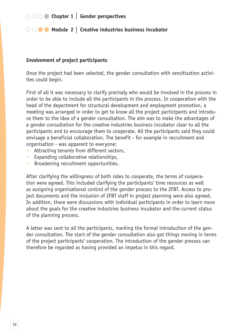#### **Module 2 Creative industries business incubator**

#### **Involvement of project participants**

Once the project had been selected, the gender consultation with sensitisation activities could begin.

First of all it was necessary to clarify precisely who would be involved in the process in order to be able to include all the participants in the process. In cooperation with the head of the department for structural development and employment promotion, a meeting was arranged in order to get to know all the project participants and introduce them to the idea of a gender consultation. The aim was to make the advantages of a gender consultation for the creative industries business incubator clear to all the participants and to encourage them to cooperate. All the participants said they could envisage a beneficial collaboration. The benefit - for example in recruitment and organisation - was apparent to everyone:

- Attracting tenants from different sectors,
- Expanding collaborative relationships,
- Broadening recruitment opportunities.

After clarifying the willingness of both sides to cooperate, the terms of cooperation were agreed. This included clarifying the participants' time resources as well as assigning organisational control of the gender process to the ZFBT. Access to project documents and the inclusion of ZFBT staff in project planning were also agreed. In addition, there were discussions with individual participants in order to learn more about the goals for the creative industries business incubator and the current status of the planning process.

A letter was sent to all the participants, marking the formal introduction of the gender consultation. The start of the gender consultation also got things moving in terms of the project participants' cooperation. The introduction of the gender process can therefore be regarded as having provided an impetus in this regard.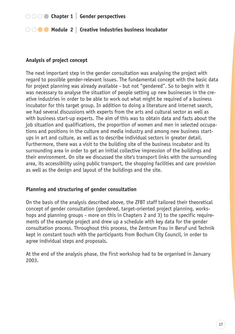#### **Module 2 Creative industries business incubator**

#### **Analysis of project concept**

The next important step in the gender consultation was analysing the project with regard to possible gender-relevant issues. The fundamental concept with the basic data for project planning was already available - but not "gendered". So to begin with it was necessary to analyse the situation of people setting up new businesses in the creative industries in order to be able to work out what might be required of a business incubator for this target group. In addition to doing a literature and internet search, we had several discussions with experts from the arts and cultural sector as well as with business start-up experts. The aim of this was to obtain data and facts about the job situation and qualifications, the proportion of women and men in selected occupations and positions in the culture and media industry and among new business startups in art and culture, as well as to describe individual sectors in greater detail. Furthermore, there was a visit to the building site of the business incubator and its surrounding area in order to get an initial collective impression of the buildings and their environment. On site we discussed the site's transport links with the surrounding area, its accessibility using public transport, the shopping facilities and care provision as well as the design and layout of the buildings and the site.

#### **Planning and structuring of gender consultation**

On the basis of the analysis described above, the ZFBT staff tailored their theoretical concept of gender consultation (gendered, target-oriented project planning, workshops and planning groups - more on this in Chapters 2 and 3) to the specific requirements of the example project and drew up a schedule with key data for the gender consultation process. Throughout this process, the Zentrum Frau in Beruf und Technik kept in constant touch with the participants from Bochum City Council, in order to agree individual steps and proposals.

At the end of the analysis phase, the first workshop had to be organised in January 2003.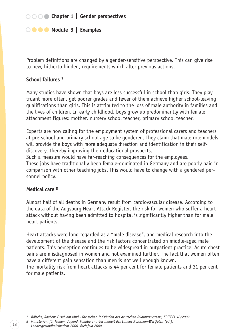

Problem definitions are changed by a gender-sensitive perspective. This can give rise to new, hitherto hidden, requirements which alter previous actions.

#### **School failures 7**

Many studies have shown that boys are less successful in school than girls. They play truant more often, get poorer grades and fewer of them achieve higher school-leaving qualifications than girls. This is attributed to the loss of male authority in families and the lives of children. In early childhood, boys grow up predominantly with female attachment figures: mother, nursery school teacher, primary school teacher.

Experts are now calling for the employment system of professional carers and teachers at pre-school and primary school age to be gendered. They claim that male role models will provide the boys with more adequate direction and identification in their selfdiscovery, thereby improving their educational prospects.

Such a measure would have far-reaching consequences for the employees. These jobs have traditionally been female-dominated in Germany and are poorly paid in comparison with other teaching jobs. This would have to change with a gendered personnel policy.

#### **Medical care 8**

Almost half of all deaths in Germany result from cardiovascular disease. According to the data of the Augsburg Heart Attack Register, the risk for women who suffer a heart attack without having been admitted to hospital is significantly higher than for male heart patients.

Heart attacks were long regarded as a "male disease", and medical research into the development of the disease and the risk factors concentrated on middle-aged male patients. This perception continues to be widespread in outpatient practice. Acute chest pains are misdiagnosed in women and not examined further. The fact that women often have a different pain sensation than men is not well enough known.

The mortality risk from heart attacks is 44 per cent for female patients and 31 per cent for male patients.

*<sup>8</sup> Ministerium für Frauen, Jugend, Familie und Gesundheit des Landes Nordrhein-Westfalen (ed.): Landesgesundheitsbericht 2000, Bielefeld 2000*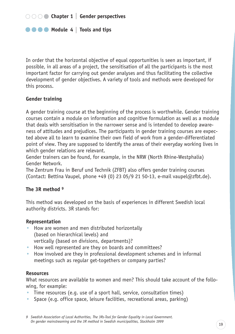

In order that the horizontal objective of equal opportunities is seen as important, if possible, in all areas of a project, the sensitisation of all the participants is the most important factor for carrying out gender analyses and thus facilitating the collective development of gender objectives. A variety of tools and methods were developed for this process.

#### **Gender training**

A gender training course at the beginning of the process is worthwhile. Gender training courses contain a module on information and cognitive formulation as well as a module that deals with sensitisation in the narrower sense and is intended to develop awareness of attitudes and prejudices. The participants in gender training courses are expected above all to learn to examine their own field of work from a gender-differentiated point of view. They are supposed to identify the areas of their everyday working lives in which gender relations are relevant.

Gender trainers can be found, for example, in the NRW (North Rhine-Westphalia) Gender Network.

The Zentrum Frau in Beruf und Technik (ZFBT) also offers gender training courses (Contact: Bettina Vaupel, phone +49 (0) 23 05/9 21 50-13, e-mail vaupel $@zfbt.de$ ).

#### **The 3R method 9**

This method was developed on the basis of experiences in different Swedish local authority districts. 3R stands for:

#### **Representation**

- How are women and men distributed horizontally (based on hierarchical levels) and vertically (based on divisions, departments)?
- How well represented are they on boards and committees?
- How involved are they in professional development schemes and in informal meetings such as regular get-togethers or company parties?

#### **Resources**

What resources are available to women and men? This should take account of the following, for example:

- Time resources (e.g. use of a sport hall, service, consultation times)
- Space (e.g. office space, leisure facilities, recreational areas, parking)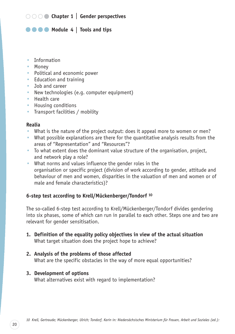#### **Module 4 Tools and tips**

- Information
- Money
- Political and economic power
- Education and training
- Job and career
- New technologies (e.g. computer equipment)
- Health care
- Housing conditions
- Transport facilities / mobility

#### **Realia**

- What is the nature of the project output: does it appeal more to women or men?
- What possible explanations are there for the quantitative analysis results from the areas of "Representation" and "Resources"?
- To what extent does the dominant value structure of the organisation, project, and network play a role?
- What norms and values influence the gender roles in the organisation or specific project (division of work according to gender, attitude and behaviour of men and women, disparities in the valuation of men and women or of male and female characteristics)?

#### **6-step test according to Krell/Mückenberger/Tondorf 10**

The so-called 6-step test according to Krell/Mückenberger/Tondorf divides gendering into six phases, some of which can run in parallel to each other. Steps one and two are relevant for gender sensitisation.

- **1. Definition of the equality policy objectives in view of the actual situation** What target situation does the project hope to achieve?
- **2. Analysis of the problems of those affected** What are the specific obstacles in the way of more equal opportunities?

#### **3. Development of options** What alternatives exist with regard to implementation?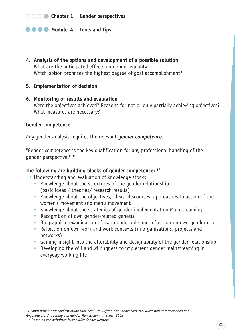**Module 4 | Tools and tips** 

**4. Analysis of the options and development of a possible solution** What are the anticipated effects on gender equality? Which option promises the highest degree of goal accomplishment?

#### **5. Implementation of decision**

**6. Monitoring of results and evaluation** Were the objectives achieved? Reasons for not or only partially achieving objectives? What measures are necessary?

#### **Gender competence**

Any gender analysis requires the relevant *gender competence.* 

"Gender competence is the key qualification for any professional handling of the gender perspective." 11

#### **The following are building blocks of gender competence: 12**

- Understanding and evaluation of knowledge stocks
	- Knowledge about the structures of the gender relationship (basic ideas / theories/ research results)
	- Knowledge about the objectives, ideas, discourses, approaches to action of the women's movement and men's movement
	- Knowledge about the strategies of gender implementation Mainstreaming
	- Recognition of own gender-related genesis
	- Biographical examination of own gender role and reflection on own gender role
	- Reflection on own work and work contexts (in organisations, projects and networks)
	- Gaining insight into the alterability and designability of the gender relationship
	- Developing the will and willingness to implement gender mainstreaming in everyday working life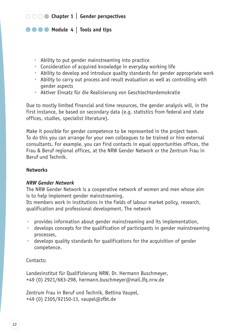**Module 4 | Tools and tips** 

- Ability to put gender mainstreaming into practice
- Consideration of acquired knowledge in everyday working life
- Ability to develop and introduce quality standards for gender appropriate work
- Ability to carry out process and result evaluation as well as controlling with gender aspects
- Aktiver Einsatz für die Realisierung von Geschlechterdemokratie

Due to mostly limited financial and time resources, the gender analysis will, in the first instance, be based on secondary data (e.g. statistics from federal and state offices, studies, specialist literature).

Make it possible for gender competence to be represented in the project team. To do this you can arrange for your own colleagues to be trained or hire external consultants. For example, you can find contacts in equal opportunities offices, the Frau & Beruf regional offices, at the NRW Gender Network or the Zentrum Frau in Beruf und Technik.

#### **Networks**

#### *NRW Gender Network*

The NRW Gender Network is a cooperative network of women and men whose aim is to help implement gender mainstreaming.

Its members work in institutions in the fields of labour market policy, research, qualification and professional development. The network

- provides information about gender mainstreaming and its implementation,
- develops concepts for the qualification of participants in gender mainstreaming processes,
- develops quality standards for qualifications for the acquisition of gender competence.

Contacts:

Landesinstitut für Qualifizierung NRW, Dr. Hermann Buschmeyer, +49 (0) 2921/683-298, hermann.buschmeyer@mail.lfq.nrw.de

Zentrum Frau in Beruf und Technik, Bettina Vaupel, +49 (0) 2305/92150-13, vaupel@zfbt.de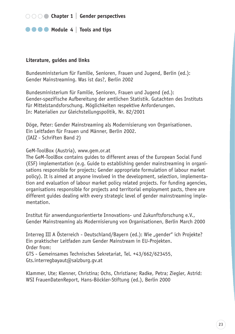

**Module 4 | Tools and tips** 

#### **Literature, guides and links**

Bundesministerium für Familie, Senioren, Frauen und Jugend, Berlin (ed.): Gender Mainstreaming. Was ist das?, Berlin 2002

Bundesministerium für Familie, Senioren, Frauen und Jugend (ed.): Gender-spezifische Aufbereitung der amtlichen Statistik. Gutachten des Instituts für Mittelstandsforschung. Möglichkeiten respektive Anforderungen. In: Materialien zur Gleichstellungspolitik, Nr. 82/2001

Döge, Peter: Gender Mainstreaming als Modernisierung von Organisationen. Ein Leitfaden für Frauen und Männer, Berlin 2002. (IAIZ - Schriften Band 2)

GeM-ToolBox (Austria), www.gem.or.at

The GeM-ToolBox contains guides to different areas of the European Social Fund (ESF) implementation (e.g. Guide to establishing gender mainstreaming in organisations responsible for projects; Gender appropriate formulation of labour market policy). It is aimed at anyone involved in the development, selection, implementation and evaluation of labour market policy related projects. For funding agencies, organisations responsible for projects and territorial employment pacts, there are different guides dealing with every strategic level of gender mainstreaming implementation.

Institut für anwendungsorientierte Innovations- und Zukunftsforschung e.V., Gender Mainstreaming als Modernisierung von Organisationen, Berlin March 2000

Interreg III A Österreich - Deutschland/Bayern (ed.): Wie "gender" ich Projekte? Ein praktischer Leitfaden zum Gender Mainstream in EU-Projekten. Order from: GTS - Gemeinsames Technisches Sekretariat, Tel. +43/662/623455, Gts.interregbayaut@salzburg.gv.at

Klammer, Ute; Klenner, Christina; Ochs, Christiane; Radke, Petra; Ziegler, Astrid: WSI FrauenDatenReport, Hans-Böckler-Stiftung (ed.), Berlin 2000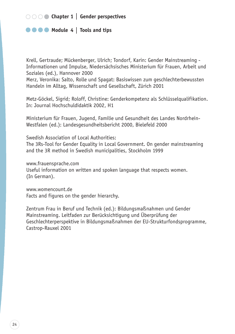#### **Module 4 | Tools and tips**

Krell, Gertraude; Mückenberger, Ulrich; Tondorf, Karin: Gender Mainstreaming - Informationen und Impulse, Niedersächsisches Ministerium für Frauen, Arbeit und Soziales (ed.), Hannover 2000

Merz, Veronika: Salto, Rolle und Spagat: Basiswissen zum geschlechterbewussten Handeln im Alltag, Wissenschaft und Gesellschaft, Zürich 2001

Metz-Göckel, Sigrid; Roloff, Christine: Genderkompetenz als Schlüsselqualifikation. In: Journal Hochschuldidaktik 2002, H1

Ministerium für Frauen, Jugend, Familie und Gesundheit des Landes Nordrhein-Westfalen (ed.): Landesgesundheitsbericht 2000, Bielefeld 2000

Swedish Association of Local Authorities: The 3Rs-Tool for Gender Equality in Local Government. On gender mainstreaming and the 3R method in Swedish municipalities, Stockholm 1999

www.frauensprache.com Useful information on written and spoken language that respects women. (In German).

www.womencount.de Facts and figures on the gender hierarchy.

Zentrum Frau in Beruf und Technik (ed.): Bildungsmaßnahmen und Gender Mainstreaming. Leitfaden zur Berücksichtigung und Überprüfung der Geschlechterperspektive in Bildungsmaßnahmen der EU-Strukturfondsprogramme, Castrop-Rauxel 2001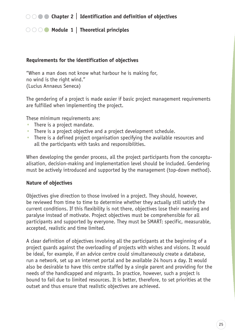#### **Module 1 Theoretical principles**

#### **Requirements for the identification of objectives**

"When a man does not know what harbour he is making for, no wind is the right wind." (Lucius Annaeus Seneca)

The gendering of a project is made easier if basic project management requirements are fulfilled when implementing the project.

These minimum requirements are:

- There is a project mandate.
- There is a project objective and a project development schedule.
- There is a defined project organisation specifying the available resources and all the participants with tasks and responsibilities.

When developing the gender process, all the project participants from the conceptualisation, decision-making and implementation level should be included. Gendering must be actively introduced and supported by the management (top-down method).

#### **Nature of objectives**

Objectives give direction to those involved in a project. They should, however, be reviewed from time to time to determine whether they actually still satisfy the current conditions. If this flexibility is not there, objectives lose their meaning and paralyse instead of motivate. Project objectives must be comprehensible for all participants and supported by everyone. They must be SMART: specific, measurable, accepted, realistic and time limited.

A clear definition of objectives involving all the participants at the beginning of a project guards against the overloading of projects with wishes and visions. It would be ideal, for example, if an advice centre could simultaneously create a database, run a network, set up an internet portal and be available 24 hours a day. It would also be desirable to have this centre staffed by a single parent and providing for the needs of the handicapped and migrants. In practice, however, such a project is bound to fail due to limited resources. It is better, therefore, to set priorities at the outset and thus ensure that realistic objectives are achieved.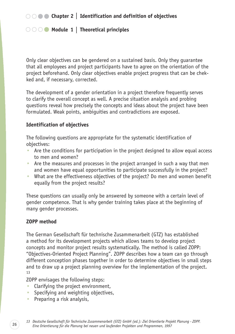#### **Module 1 Theoretical principles**

Only clear objectives can be gendered on a sustained basis. Only they guarantee that all employees and project participants have to agree on the orientation of the project beforehand. Only clear objectives enable project progress that can be chekked and, if necessary, corrected.

The development of a gender orientation in a project therefore frequently serves to clarify the overall concept as well. A precise situation analysis and probing questions reveal how precisely the concepts and ideas about the project have been formulated. Weak points, ambiguities and contradictions are exposed.

#### **Identification of objectives**

The following questions are appropriate for the systematic identification of objectives:

- Are the conditions for participation in the project designed to allow equal access to men and women?
- Are the measures and processes in the project arranged in such a way that men and women have equal opportunities to participate successfully in the project?
- What are the effectiveness objectives of the project? Do men and women benefit equally from the project results?

These questions can usually only be answered by someone with a certain level of gender competence. That is why gender training takes place at the beginning of many gender processes.

#### **ZOPP method**

The German Gesellschaft für technische Zusammenarbeit (GTZ) has established a method for its development projects which allows teams to develop project concepts and monitor project results systematically. The method is called ZOPP: "Objectives-Oriented Project Planning". ZOPP describes how a team can go through different conception phases together in order to determine objectives in small steps and to draw up a project planning overview for the implementation of the project. 13

ZOPP envisages the following steps:

- Clarifying the project environment,
- Specifying and weighting objectives,
- Preparing a risk analysis,

26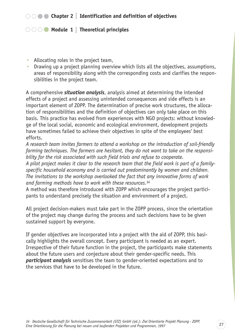#### **Module 1 Theoretical principles**

- Allocating roles in the project team,
- Drawing up a project planning overview which lists all the objectives, assumptions, areas of responsibility along with the corresponding costs and clarifies the responsibilities in the project team.

A comprehensive *situation analysis*, analysis aimed at determining the intended effects of a project and assessing unintended consequences and side effects is an important element of ZOPP. The determination of precise work structures, the allocation of responsibilities and the definition of objectives can only take place on this basis. This practice has evolved from experiences with NGO projects: without knowledge of the local social, economic and ecological environment, development projects have sometimes failed to achieve their objectives in spite of the employees' best efforts.

*A research team invites farmers to attend a workshop on the introduction of soil-friendly farming techniques. The farmers are hesitant, they do not want to take on the responsibility for the risk associated with such field trials and refuse to cooperate.* 

*A pilot project makes it clear to the research team that the field work is part of a familyspecific household economy and is carried out predominantly by women and children. The invitations to the workshop overlooked the fact that any innovative forms of work and farming methods have to work with these resources.14*

A method was therefore introduced with ZOPP which encourages the project participants to understand precisely the situation and environment of a project.

All project decision-makers must take part in the ZOPP process, since the orientation of the project may change during the process and such decisions have to be given sustained support by everyone.

If gender objectives are incorporated into a project with the aid of ZOPP, this basically highlights the overall concept. Every participant is needed as an expert. Irrespective of their future function in the project, the participants make statements about the future users and conjecture about their gender-specific needs. This *participant analysis* sensitises the team to gender-oriented expectations and to the services that have to be developed in the future.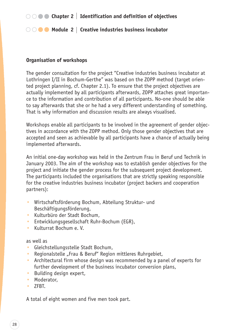

#### **Organisation of workshops**

The gender consultation for the project "Creative industries business incubator at Lothringen I/II in Bochum-Gerthe" was based on the ZOPP method (target oriented project planning, cf. Chapter 2.1). To ensure that the project objectives are actually implemented by all participants afterwards, ZOPP attaches great importance to the information and contribution of all participants. No-one should be able to say afterwards that she or he had a very different understanding of something. That is why information and discussion results are always visualised.

Workshops enable all participants to be involved in the agreement of gender objectives in accordance with the ZOPP method. Only those gender objectives that are accepted and seen as achievable by all participants have a chance of actually being implemented afterwards.

An initial one-day workshop was held in the Zentrum Frau in Beruf und Technik in January 2003. The aim of the workshop was to establish gender objectives for the project and initiate the gender process for the subsequent project development. The participants included the organisations that are strictly speaking responsible for the creative industries business incubator (project backers and cooperation partners):

- Wirtschaftsförderung Bochum, Abteilung Struktur- und Beschäftigungsförderung,
- Kulturbüro der Stadt Bochum,
- Entwicklungsgesellschaft Ruhr-Bochum (EGR),
- Kulturrat Bochum e. V.

#### as well as

- Gleichstellungsstelle Stadt Bochum,
- Regionalstelle "Frau & Beruf" Region mittleres Ruhrgebiet,
- Architectural firm whose design was recommended by a panel of experts for further development of the business incubator conversion plans,
- Building design expert,
- Moderator,
- ZFBT.

A total of eight women and five men took part.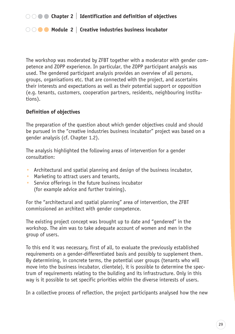

The workshop was moderated by ZFBT together with a moderator with gender competence and ZOPP experience. In particular, the ZOPP participant analysis was used. The gendered participant analysis provides an overview of all persons, groups, organisations etc. that are connected with the project, and ascertains their interests and expectations as well as their potential support or opposition (e.g. tenants, customers, cooperation partners, residents, neighbouring institutions).

#### **Definition of objectives**

The preparation of the question about which gender objectives could and should be pursued in the "creative industries business incubator" project was based on a gender analysis (cf. Chapter 1.2).

The analysis highlighted the following areas of intervention for a gender consultation:

- Architectural and spatial planning and design of the business incubator,
- Marketing to attract users and tenants,
- Service offerings in the future business incubator (for example advice and further training).

For the "architectural and spatial planning" area of intervention, the ZFBT commissioned an architect with gender competence.

The existing project concept was brought up to date and "gendered" in the workshop. The aim was to take adequate account of women and men in the group of users.

To this end it was necessary, first of all, to evaluate the previously established requirements on a gender-differentiated basis and possibly to supplement them. By determining, in concrete terms, the potential user groups (tenants who will move into the business incubator, clientele), it is possible to determine the spectrum of requirements relating to the building and its infrastructure. Only in this way is it possible to set specific priorities within the diverse interests of users.

In a collective process of reflection, the project participants analysed how the new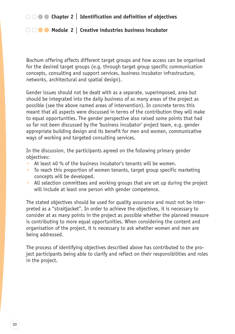

Bochum offering affects different target groups and how access can be organised for the desired target groups (e.g. through target group specific communication concepts, consulting and support services, business incubator infrastructure, networks, architectural and spatial design).

Gender issues should not be dealt with as a separate, superimposed, area but should be integrated into the daily business of as many areas of the project as possible (see the above named areas of intervention). In concrete terms this meant that all aspects were discussed in terms of the contribution they will make to equal opportunities. The gender perspective also raised some points that had so far not been discussed by the 'business incubator' project team, e.g. gender appropriate building design and its benefit for men and women, communicative ways of working and targeted consulting services.

In the discussion, the participants agreed on the following primary gender objectives:

- At least 40 % of the business incubator's tenants will be women.
- To reach this proportion of women tenants, target group specific marketing concepts will be developed.
- All selection committees and working groups that are set up during the project will include at least one person with gender competence.

The stated objectives should be used for quality assurance and must not be interpreted as a "straitjacket". In order to achieve the objectives, it is necessary to consider at as many points in the project as possible whether the planned measure is contributing to more equal opportunities. When considering the content and organisation of the project, it is necessary to ask whether women and men are being addressed.

The process of identifying objectives described above has contributed to the project participants being able to clarify and reflect on their responsibilities and roles in the project.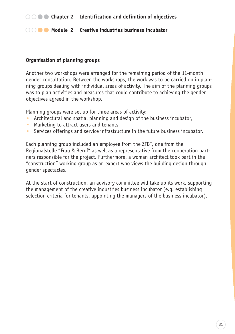

#### **Organisation of planning groups**

Another two workshops were arranged for the remaining period of the 11-month gender consultation. Between the workshops, the work was to be carried on in planning groups dealing with individual areas of activity. The aim of the planning groups was to plan activities and measures that could contribute to achieving the gender objectives agreed in the workshop.

Planning groups were set up for three areas of activity:

- Architectural and spatial planning and design of the business incubator,
- Marketing to attract users and tenants,
- Services offerings and service infrastructure in the future business incubator.

Each planning group included an employee from the ZFBT, one from the Regionalstelle "Frau & Beruf" as well as a representative from the cooperation partners responsible for the project. Furthermore, a woman architect took part in the "construction" working group as an expert who views the building design through gender spectacles.

At the start of construction, an advisory committee will take up its work, supporting the management of the creative industries business incubator (e.g. establishing selection criteria for tenants, appointing the managers of the business incubator).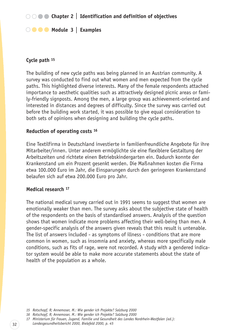#### **Module 3 | Examples**

#### **Cycle path 15**

The building of new cycle paths was being planned in an Austrian community. A survey was conducted to find out what women and men expected from the cycle paths. This highlighted diverse interests. Many of the female respondents attached importance to aesthetic qualities such as attractively designed picnic areas or family-friendly signposts. Among the men, a large group was achievement-oriented and interested in distances and degrees of difficulty. Since the survey was carried out before the building work started, it was possible to give equal consideration to both sets of opinions when designing and building the cycle paths.

#### **Reduction of operating costs 16**

Eine Textilfirma in Deutschland investierte in familienfreundliche Angebote für ihre Mitarbeiter/innen. Unter anderem ermöglichte sie eine flexiblere Gestaltung der Arbeitszeiten und richtete einen Betriebskindergarten ein. Dadurch konnte der Krankenstand um ein Prozent gesenkt werden. Die Maßnahmen kosten die Firma etwa 100.000 Euro im Jahr, die Einsparungen durch den geringeren Krankenstand belaufen sich auf etwa 200.000 Euro pro Jahr.

#### **Medical research 17**

The national medical survey carried out in 1991 seems to suggest that women are emotionally weaker than men. The survey asks about the subjective state of health of the respondents on the basis of standardised answers. Analysis of the question shows that women indicate more problems affecting their well-being than men. A gender-specific analysis of the answers given reveals that this result is untenable. The list of answers included - as symptoms of illness - conditions that are more common in women, such as insomnia and anxiety, whereas more specifically male conditions, such as fits of rage, were not recorded. A study with a gendered indicator system would be able to make more accurate statements about the state of health of the population as a whole.

*16 Rotschopf, R; Annemoser, M.: Wie gender ich Projekte? Salzburg 2000*

*<sup>15</sup> Rotschopf, R; Annemoser, M.: Wie gender ich Projekte? Salzburg 2000*

*<sup>17</sup> Ministerium für Frauen, Jugend, Familie und Gesundheit des Landes Nordrhein-Westfalen (ed.): Landesgesundheitsbericht 2000, Bielefeld 2000, p. 45*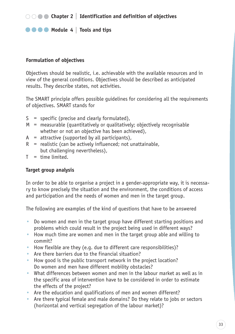#### **Module 4 | Tools and tips**

#### **Formulation of objectives**

Objectives should be realistic, i.e. achievable with the available resources and in view of the general conditions. Objectives should be described as anticipated results. They describe states, not activities.

The SMART principle offers possible guidelines for considering all the requirements of objectives. SMART stands for

- $S =$  specific (precise and clearly formulated),
- $M =$  measurable (quantitatively or qualitatively; objectively recognisable whether or not an objective has been achieved),
- $A =$  attractive (supported by all participants),
- $R =$  realistic (can be actively influenced; not unattainable, but challenging nevertheless),
- $T =$  time limited.

#### **Target group analysis**

In order to be able to organise a project in a gender-appropriate way, it is necessary to know precisely the situation and the environment, the conditions of access and participation and the needs of women and men in the target group.

The following are examples of the kind of questions that have to be answered

- Do women and men in the target group have different starting positions and problems which could result in the project being used in different ways?
- How much time are women and men in the target group able and willing to commit?
- How flexible are they (e.g. due to different care responsibilities)?
- Are there barriers due to the financial situation?
- How good is the public transport network in the project location? Do women and men have different mobility obstacles?
- What differences between women and men in the labour market as well as in the specific area of intervention have to be considered in order to estimate the effects of the project?
- Are the education and qualifications of men and women different?
- Are there typical female and male domains? Do they relate to jobs or sectors (horizontal and vertical segregation of the labour market)?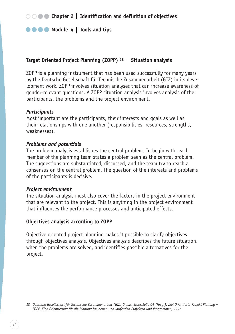**Module 4 | Tools and tips** 

#### **Target Oriented Project Planning (ZOPP) 18 – Situation analysis**

ZOPP is a planning instrument that has been used successfully for many years by the Deutsche Gesellschaft für Technische Zusammenarbeit (GTZ) in its development work. ZOPP involves situation analyses that can increase awareness of gender-relevant questions. A ZOPP situation analysis involves analysis of the participants, the problems and the project environment.

#### *Participants*

Most important are the participants, their interests and goals as well as their relationships with one another (responsibilities, resources, strengths, weaknesses).

#### *Problems and potentials*

The problem analysis establishes the central problem. To begin with, each member of the planning team states a problem seen as the central problem. The suggestions are substantiated, discussed, and the team try to reach a consensus on the central problem. The question of the interests and problems of the participants is decisive.

#### *Project environment*

The situation analysis must also cover the factors in the project environment that are relevant to the project. This is anything in the project environment that influences the performance processes and anticipated effects.

#### **Objectives analysis according to ZOPP**

Objective oriented project planning makes it possible to clarify objectives through objectives analysis. Objectives analysis describes the future situation, when the problems are solved, and identifies possible alternatives for the project.

*<sup>18</sup> Deutsche Gesellschaft für Technische Zusammenarbeit (GTZ) GmbH, Stabsstelle 04 (Hrsg.): Ziel Orientierte Projekt Planung – ZOPP. Eine Orientierung für die Planung bei neuen und laufenden Projekten und Programmen, 1997*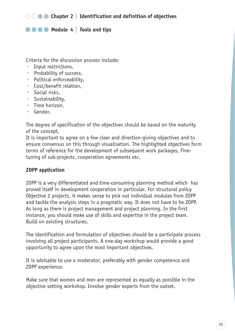#### **Module 4 | Tools and tips**

Criteria for the discussion process include:

- Input restrictions,
- Probability of success,
- Political enforceability,
- Cost/benefit relation,
- Social risks,
- Sustainability,
- Time horizon,
- Gender.

The degree of specification of the objectives should be based on the maturity of the concept.

It is important to agree on a few clear and direction-giving objectives and to ensure consensus on this through visualisation. The highlighted objectives form terms of reference for the development of subsequent work packages, finetuning of sub-projects, cooperation agreements etc.

#### **ZOPP application**

ZOPP is a very differentiated and time-consuming planning method which has proved itself in development cooperation in particular. For structural policy Objective 2 projects, it makes sense to pick out individual modules from ZOPP and tackle the analysis steps in a pragmatic way. It does not have to be ZOPP. As long as there is project management and project planning. In the first instance, you should make use of skills and expertise in the project team. Build on existing structures.

The identification and formulation of objectives should be a participate process involving all project participants. A one-day workshop would provide a good opportunity to agree upon the most important objectives.

It is advisable to use a moderator, preferably with gender competence and ZOPP experience.

Make sure that women and men are represented as equally as possible in the objective setting workshop. Involve gender experts from the outset.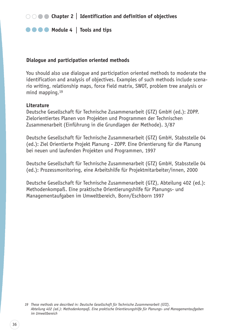**Module 4 | Tools and tips** 

#### **Dialogue and participation oriented methods**

You should also use dialogue and participation oriented methods to moderate the identification and analysis of objectives. Examples of such methods include scenario writing, relationship maps, force field matrix, SWOT, problem tree analysis or mind mapping.19

#### **Literature**

Deutsche Gesellschaft für Technische Zusammenarbeit (GTZ) GmbH (ed.): ZOPP. Zielorientiertes Planen von Projekten und Programmen der Technischen Zusammenarbeit (Einführung in die Grundlagen der Methode). 3/87

Deutsche Gesellschaft für Technische Zusammenarbeit (GTZ) GmbH, Stabsstelle 04 (ed.): Ziel Orientierte Projekt Planung - ZOPP. Eine Orientierung für die Planung bei neuen und laufenden Projekten und Programmen, 1997

Deutsche Gesellschaft für Technische Zusammenarbeit (GTZ) GmbH, Stabsstelle 04 (ed.): Prozessmonitoring, eine Arbeitshilfe für Projektmitarbeiter/innen, 2000

Deutsche Gesellschaft für Technische Zusammenarbeit (GTZ), Abteilung 402 (ed.): Methodenkompaß. Eine praktische Orientierungshilfe für Planungs- und Managementaufgaben im Umweltbereich, Bonn/Eschborn 1997

*<sup>19</sup> These methods are described in: Deutsche Gesellschaft für Technische Zusammenarbeit (GTZ), Abteilung 402 (ed.): Methodenkompaß. Eine praktische Orientierungshilfe für Planungs- und Managementaufgaben im Umweltbereich*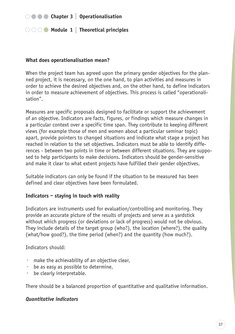## **C** ● ● Chapter 3 Deerationalisation

**Module 1 Theoretical principles**

#### **What does operationalisation mean?**

When the project team has agreed upon the primary gender objectives for the planned project, it is necessary, on the one hand, to plan activities and measures in order to achieve the desired objectives and, on the other hand, to define indicators in order to measure achievement of objectives. This process is called "operationalisation".

Measures are specific proposals designed to facilitate or support the achievement of an objective. Indicators are facts, figures, or findings which measure changes in a particular context over a specific time span. They contribute to keeping different views (for example those of men and women about a particular seminar topic) apart, provide pointers to changed situations and indicate what stage a project has reached in relation to the set objectives. Indicators must be able to identify differences - between two points in time or between different situations. They are supposed to help participants to make decisions. Indicators should be gender-sensitive and make it clear to what extent projects have fulfilled their gender objectives.

Suitable indicators can only be found if the situation to be measured has been defined and clear objectives have been formulated.

#### **Indicators – staying in touch with reality**

Indicators are instruments used for evaluation/controlling and monitoring. They provide an accurate picture of the results of projects and serve as a yardstick without which progress (or deviations or lack of progress) would not be obvious. They include details of the target group (who?), the location (where?), the quality (what/how good?), the time period (when?) and the quantity (how much?).

Indicators should:

- make the achievability of an objective clear,
- be as easy as possible to determine,
- be clearly interpretable.

There should be a balanced proportion of quantitative and qualitative information.

#### *Quantitative indicators*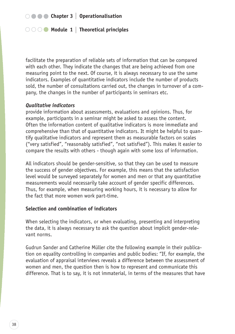# **COOChapter 3** Operationalisation

#### **Module 1 Theoretical principles**

facilitate the preparation of reliable sets of information that can be compared with each other. They indicate the changes that are being achieved from one measuring point to the next. Of course, it is always necessary to use the same indicators. Examples of quantitative indicators include the number of products sold, the number of consultations carried out, the changes in turnover of a company, the changes in the number of participants in seminars etc.

#### *Qualitative indicators*

provide information about assessments, evaluations and opinions. Thus, for example, participants in a seminar might be asked to assess the content. Often the information content of qualitative indicators is more immediate and comprehensive than that of quantitative indicators. It might be helpful to quantify qualitative indicators and represent them as measurable factors on scales ("very satisfied", "reasonably satisfied", "not satisfied"). This makes it easier to compare the results with others - though again with some loss of information.

All indicators should be gender-sensitive, so that they can be used to measure the success of gender objectives. For example, this means that the satisfaction level would be surveyed separately for women and men or that any quantitative measurements would necessarily take account of gender specific differences. Thus, for example, when measuring working hours, it is necessary to allow for the fact that more women work part-time.

#### **Selection and combination of indicators**

When selecting the indicators, or when evaluating, presenting and interpreting the data, it is always necessary to ask the question about implicit gender-relevant norms.

Gudrun Sander and Catherine Müller cite the following example in their publication on equality controlling in companies and public bodies: "If, for example, the evaluation of appraisal interviews reveals a difference between the assessment of women and men, the question then is how to represent and communicate this difference. That is to say, it is not immaterial, in terms of the measures that have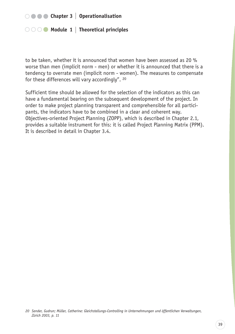# **COCO** Chapter 3 | Operationalisation

# **Module 1 Theoretical principles**

to be taken, whether it is announced that women have been assessed as 20 % worse than men (implicit norm - men) or whether it is announced that there is a tendency to overrate men (implicit norm - women). The measures to compensate for these differences will vary accordingly". 20

Sufficient time should be allowed for the selection of the indicators as this can have a fundamental bearing on the subsequent development of the project. In order to make project planning transparent and comprehensible for all participants, the indicators have to be combined in a clear and coherent way. Objectives-oriented Project Planning (ZOPP), which is described in Chapter 2.1, provides a suitable instrument for this: it is called Project Planning Matrix (PPM). It is described in detail in Chapter 3.4.

*<sup>20</sup> Sander, Gudrun; Müller, Catherine: Gleichstellungs-Controlling in Unternehmungen und öffentlichen Verwaltungen, Zürich 2003, p. 11*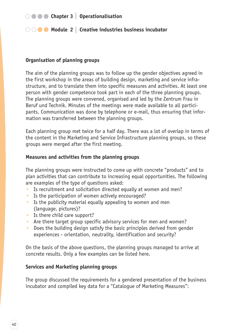# **COOChapter 3** Operationalisation

#### **Module 2 Creative industries business incubator**

#### **Organisation of planning groups**

The aim of the planning groups was to follow up the gender objectives agreed in the first workshop in the areas of building design, marketing and service infrastructure, and to translate them into specific measures and activities. At least one person with gender competence took part in each of the three planning groups. The planning groups were convened, organised and led by the Zentrum Frau in Beruf und Technik. Minutes of the meetings were made available to all participants. Communication was done by telephone or e-mail, thus ensuring that information was transferred between the planning groups.

Each planning group met twice for a half day. There was a lot of overlap in terms of the content in the Marketing and Service Infrastructure planning groups, so these groups were merged after the first meeting.

#### **Measures and activities from the planning groups**

The planning groups were instructed to come up with concrete "products" and to plan activities that can contribute to increasing equal opportunities. The following are examples of the type of questions asked:

- Is recruitment and solicitation directed equally at women and men?
- Is the participation of women actively encouraged?
- Is the publicity material equally appealing to women and men (language, pictures)?
- Is there child care support?
- Are there target group specific advisory services for men and women?
- Does the building design satisfy the basic principles derived from gender experiences - orientation, neutrality, identification and security?

On the basis of the above questions, the planning groups managed to arrive at concrete results. Only a few examples can be listed here.

#### **Services and Marketing planning groups**

The group discussed the requirements for a gendered presentation of the business incubator and compiled key data for a "Catalogue of Marketing Measures":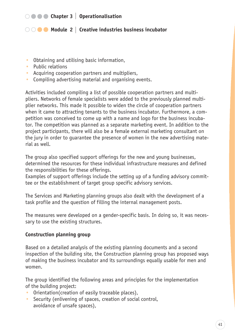# **COOChapter 3 | Operationalisation**

#### **Module 2 Creative industries business incubator**

- Obtaining and utilising basic information,
- Public relations
- Acquiring cooperation partners and multipliers,
- Compiling advertising material and organising events.

Activities included compiling a list of possible cooperation partners and multipliers. Networks of female specialists were added to the previously planned multiplier networks. This made it possible to widen the circle of cooperation partners when it came to attracting tenants to the business incubator. Furthermore, a competition was conceived to come up with a name and logo for the business incubator. The competition was planned as a separate marketing event. In addition to the project participants, there will also be a female external marketing consultant on the jury in order to guarantee the presence of women in the new advertising material as well.

The group also specified support offerings for the new and young businesses, determined the resources for these individual infrastructure measures and defined the responsibilities for these offerings.

Examples of support offerings include the setting up of a funding advisory committee or the establishment of target group specific advisory services.

The Services and Marketing planning groups also dealt with the development of a task profile and the question of filling the internal management posts.

The measures were developed on a gender-specific basis. In doing so, it was necessary to use the existing structures.

#### **Construction planning group**

Based on a detailed analysis of the existing planning documents and a second inspection of the building site, the Construction planning group has proposed ways of making the business incubator and its surroundings equally usable for men and women.

The group identified the following areas and principles for the implementation of the building project:

- Orientation(creation of easily traceable places),
- Security (enlivening of spaces, creation of social control, avoidance of unsafe spaces),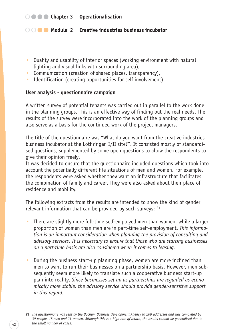#### **Module 2 Creative industries business incubator**

- Quality and usability of interior spaces (working environment with natural lighting and visual links with surrounding area),
- Communication (creation of shared places, transparency),
- Identification (creating opportunities for self involvement).

#### **User analysis - questionnaire campaign**

A written survey of potential tenants was carried out in parallel to the work done in the planning groups. This is an effective way of finding out the real needs. The results of the survey were incorporated into the work of the planning groups and also serve as a basis for the continued work of the project managers.

The title of the questionnaire was "What do you want from the creative industries business incubator at the Lothringen I/II site?". It consisted mostly of standardised questions, supplemented by some open questions to allow the respondents to give their opinion freely.

It was decided to ensure that the questionnaire included questions which took into account the potentially different life situations of men and women. For example, the respondents were asked whether they want an infrastructure that facilitates the combination of family and career. They were also asked about their place of residence and mobility.

The following extracts from the results are intended to show the kind of gender relevant information that can be provided by such surveys: 21

- There are slightly more full-time self-employed men than women, while a larger proportion of women than men are in part-time self-employment. *This information is an important consideration when planning the provision of consulting and advisory services. It is necessary to ensure that those who are starting businesses on a part-time basis are also considered when it comes to leasing.*
- During the business start-up planning phase, women are more inclined than men to want to run their businesses on a partnership basis. However, men subsequently seem more likely to translate such a cooperative business start-up plan into reality. *Since businesses set up as partnerships are regarded as economically more stable, the advisory service should provide gender-sensitive support in this regard.*

*<sup>21</sup> The questionnaire was sent by the Bochum Business Development Agency to 200 addresses and was completed by 39 people, 18 men and 21 women. Although this is a high rate of return, the results cannot be generalised due to the small number of cases.*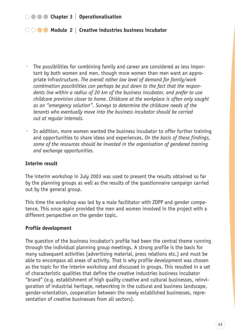# **COO** Chapter 3 | Operationalisation

#### $\bigcirc$  $\bigcirc$  **● Module 2 | Creative industries business incubator**

- The possibilities for combining family and career are considered as less important by both women and men, though more women than men want an appropriate infrastructure. *The overall rather low level of demand for family/work combination possibilities can perhaps be put down to the fact that the respondents live within a radius of 20 km of the business incubator, and prefer to use childcare provision closer to home. Childcare at the workplace is often only sought as an "emergency solution". Surveys to determine the childcare needs of the tenants who eventually move into the business incubator should be carried out at regular intervals.*
- In addition, more women wanted the business incubator to offer further training and opportunities to share ideas and experiences. *On the basis of these findings, some of the resources should be invested in the organisation of gendered training and exchange opportunities.*

#### **Interim result**

The interim workshop in July 2003 was used to present the results obtained so far by the planning groups as well as the results of the questionnaire campaign carried out by the general group.

This time the workshop was led by a male facilitator with ZOPP and gender competence. This once again provided the men and women involved in the project with a different perspective on the gender topic.

#### **Profile development**

The question of the business incubator's profile had been the central theme running through the individual planning group meetings. A strong profile is the basis for many subsequent activities (advertising material, press relations etc.) and must be able to encompass all areas of activity. That is why profile development was chosen as the topic for the interim workshop and discussed in groups. This resulted in a set of characteristic qualities that define the creative industries business incubator "brand" (e.g. establishment of high quality creative and cultural businesses, reinvigoration of industrial heritage, networking in the cultural and business landscape, gender-orientation, cooperation between the newly established businesses, representation of creative businesses from all sectors).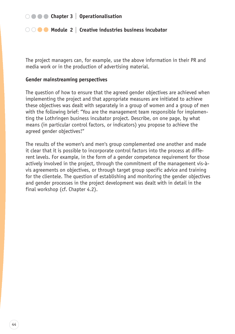## **Module 2 Creative industries business incubator**

The project managers can, for example, use the above information in their PR and media work or in the production of advertising material.

#### **Gender mainstreaming perspectives**

The question of how to ensure that the agreed gender objectives are achieved when implementing the project and that appropriate measures are initiated to achieve these objectives was dealt with separately in a group of women and a group of men with the following brief: "You are the management team responsible for implementing the Lothringen business incubator project. Describe, on one page, by what means (in particular control factors, or indicators) you propose to achieve the agreed gender objectives!"

The results of the women's and men's group complemented one another and made it clear that it is possible to incorporate control factors into the process at different levels. For example, in the form of a gender competence requirement for those actively involved in the project, through the commitment of the management vis-àvis agreements on objectives, or through target group specific advice and training for the clientele. The question of establishing and monitoring the gender objectives and gender processes in the project development was dealt with in detail in the final workshop (cf. Chapter 4.2).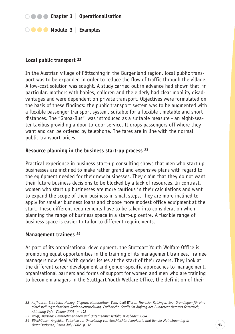# **C** ● ● Chapter 3 Deerationalisation

**Module 3 Examples** 

#### **Local public transport 22**

In the Austrian village of Pöttsching in the Burgenland region, local public transport was to be expanded in order to reduce the flow of traffic through the village. A low-cost solution was sought. A study carried out in advance had shown that, in particular, mothers with babies, children and the elderly had clear mobility disadvantages and were dependent on private transport. Objectives were formulated on the basis of these findings: the public transport system was to be augmented with a flexible passenger transport system, suitable for a flexible timetable and short distances. The "Gmoa-Bus" was introduced as a suitable measure - an eight-seater taxibus providing a door-to-door service. It drops passengers off where they want and can be ordered by telephone. The fares are in line with the normal public transport prices.

#### **Resource planning in the business start-up process 23**

Practical experience in business start-up consulting shows that men who start up businesses are inclined to make rather grand and expensive plans with regard to the equipment needed for their new businesses. They claim that they do not want their future business decisions to be blocked by a lack of resources. In contrast, women who start up businesses are more cautious in their calculations and want to expand the scope of their business in small steps. They are more inclined to apply for smaller business loans and choose more modest office equipment at the start. These different requirements have to be taken into consideration when planning the range of business space in a start-up centre. A flexible range of business space is easier to tailor to different requirements.

#### **Management trainees 24**

As part of its organisational development, the Stuttgart Youth Welfare Office is promoting equal opportunities in the training of its management trainees. Trainee managers now deal with gender issues at the start of their careers. They look at the different career development and gender-specific approaches to management, organisational barriers and forms of support for women and men who are training to become managers in the Stuttgart Youth Welfare Office, the definition of their

*<sup>22</sup> Aufhauser, Elisabeth; Herzog, Siegrun; Hinterleitner, Vera; Oedl-Wieser, Theresia; Reisinger, Eva: Grundlagen für eine gleichstellungsorientierte Regionalentwicklung. Endbericht. Studie im Auftrag des Bundeskanzleramts Österreich, Abteilung IV/4, Vienna 2003, p. 198*

*<sup>23</sup> Voigt, Martina: Unternehmerinnen und Unternehmenserfolg, Wiesbaden 1994*

*<sup>24</sup> Blickhäuser, Angelika: Beispiele zur Umsetzung von Geschlechterdemokratie und Gender Mainstreaming in Organisationen, Berlin July 2002, p. 32*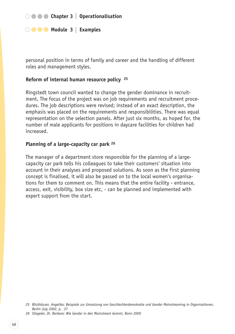personal position in terms of family and career and the handling of different roles and management styles.

#### **Reform of internal human resource policy 25**

Ringstedt town council wanted to change the gender dominance in recruitment. The focus of the project was on job requirements and recruitment procedures. The job descriptions were revised; instead of an exact description, the emphasis was placed on the requirements and responsibilities. There was equal representation on the selection panels. After just six months, as hoped for, the number of male applicants for positions in daycare facilities for children had increased.

#### **Planning of a large-capacity car park 26**

The manager of a department store responsible for the planning of a largecapacity car park tells his colleagues to take their customers' situation into account in their analyses and proposed solutions. As soon as the first planning concept is finalised, it will also be passed on to the local women's organisations for them to comment on. This means that the entire facility - entrance, access, exit, visibility, box size etc, - can be planned and implemented with expert support from the start.

*<sup>25</sup> Blickhäuser, Angelika: Beispiele zur Umsetzung von Geschlechterdemokratie und Gender Mainstreaming in Organisationen, Berlin July 2002, p. 37*

*<sup>26</sup> Stiegeler, Dr. Barbara: Wie Gender in den Mainstream kommt, Bonn 2000*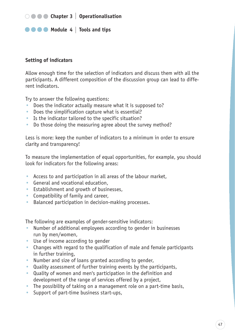**Come Chapter 3 | Operationalisation** 

**Module 4 | Tools and tips** 

#### **Setting of indicators**

Allow enough time for the selection of indicators and discuss them with all the participants. A different composition of the discussion group can lead to different indicators.

Try to answer the following questions:

- Does the indicator actually measure what it is supposed to?
- Does the simplification capture what is essential?
- Is the indicator tailored to the specific situation?
- Do those doing the measuring agree about the survey method?

Less is more: keep the number of indicators to a minimum in order to ensure clarity and transparency!

To measure the implementation of equal opportunities, for example, you should look for indicators for the following areas:

- Access to and participation in all areas of the labour market,
- General and vocational education,
- Establishment and growth of businesses,
- Compatibility of family and career,
- Balanced participation in decision-making processes.

The following are examples of gender-sensitive indicators:

- Number of additional employees according to gender in businesses run by men/women,
- Use of income according to gender
- Changes with regard to the qualification of male and female participants in further training,
- Number and size of loans granted according to gender,
- Quality assessment of further training events by the participants,
- Quality of women and men's participation in the definition and development of the range of services offered by a project,
- The possibility of taking on a management role on a part-time basis,
- Support of part-time business start-ups,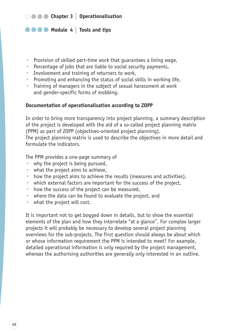# **Compared Chapter 3 | Operationalisation**

**Module 4 | Tools and tips** 

- Provision of skilled part-time work that guarantees a living wage,
- Percentage of jobs that are liable to social security payments,
- Involvement and training of returners to work,
- Promoting and enhancing the status of social skills in working life,
- Training of managers in the subject of sexual harassment at work and gender-specific forms of mobbing.

#### **Documentation of operationalisation according to ZOPP**

In order to bring more transparency into project planning, a summary description of the project is developed with the aid of a so-called project planning matrix (PPM) as part of ZOPP (objectives-oriented project planning).

The project planning matrix is used to describe the objectives in more detail and formulate the indicators.

The PPM provides a one-page summary of

- why the project is being pursued,
- what the project aims to achieve,
- how the project aims to achieve the results (measures and activities),
- which external factors are important for the success of the project,
- how the success of the project can be measured,
- where the data can be found to evaluate the project, and
- what the project will cost.

It is important not to get bogged down in details, but to show the essential elements of the plan and how they interrelate "at a glance". For complex larger projects it will probably be necessary to develop several project planning overviews for the sub-projects. The first question should always be about which or whose information requirement the PPM is intended to meet? For example, detailed operational information is only required by the project management, whereas the authorising authorities are generally only interested in an outline.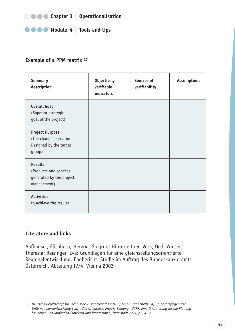**C**  $\bullet$   $\bullet$  **Chapter 3** Operationalisation

**Module 4 | Tools and tips** 

#### **Example of a PPM matrix 27**

| <b>Summary</b><br>description                                                        | <b>Objectively</b><br>verifiable<br>indicators | Sources of<br>verifiability | Assumptions |
|--------------------------------------------------------------------------------------|------------------------------------------------|-----------------------------|-------------|
| <b>Overall Goal</b><br>(Superior strategic<br>goal of the project)                   |                                                |                             |             |
| <b>Project Purpose</b><br>(The changed situation<br>Designed by the target<br>group) |                                                |                             |             |
| <b>Results</b><br>(Products and services<br>generated by the project<br>management)  |                                                |                             |             |
| <b>Activities</b><br>to achieve the results                                          |                                                |                             |             |

#### **Literature and links**

Aufhauser, Elisabeth; Herzog, Siegrun; Hinterleitner, Vera; Oedl-Wieser, Theresia; Reisinger, Eva: Grundlagen für eine gleichstellungsorientierte Regionalentwicklung. Endbericht. Studie im Auftrag des Bundeskanzleramts Österreich, Abteilung IV/4, Vienna 2003

*<sup>27</sup> Deutsche Gesellschaft für Technische Zusammenarbeit (GTZ) GmbH, Stabsstelle 04, Grundsatzfragen der Unternehmensentwicklung (ed.): Ziel Orientierte Projekt Planung - ZOPP. Eine Orientierung für die Planung bei neuen und laufenden Projekten und Programmen, Darmstadt 1997, p. 24-26*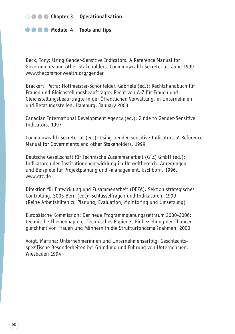# **C** ● ● Chapter 3 Dperationalisation

## **Module 4 | Tools and tips**

Beck, Tony: Using Gender-Sensitive Indicators. A Reference Manual for Governments and other Stakeholders. Commonwealth Secreteriat. June 1999 www.thecommonwealth.org/gender

Brackert, Petra; Hoffmeister-Schönfelder, Gabriele (ed.): Rechtshandbuch für Frauen und Gleichstellungsbeauftragte. Recht von A-Z für Frauen und Gleichstellungsbeauftragte in der Öffentlichen Verwaltung, in Unternehmen und Beratungsstellen. Hamburg, January 2003

Canadian International Development Agency (ed.): Guide to Gender-Sensitive Indicators. 1997

Commonwealth Secreteriat (ed.): Using Gender-Sensitive Indicators. A Reference Manual for Governments and other Stakeholders, 1999

Deutsche Gesellschaft für Technische Zusammenarbeit (GTZ) GmbH (ed.): Indikatoren der Institutionenentwicklung im Umweltbereich. Anregungen und Beispiele für Projektplanung und -management, Eschborn, 1996, www.gtz.de

Direktion für Entwicklung und Zusammenarbeit (DEZA). Sektion strategisches Controlling. 3003 Bern (ed.): Schlüsselfragen und Indikatoren. 1999 (Reihe Arbeitshilfen zu Planung, Evaluation, Monitoring und Umsetzung)

Europäische Kommission: Der neue Programmplanungszeitraum 2000-2006: technische Themenpapiere. Technisches Papier 3. Einbeziehung der Chancengleichheit von Frauen und Männern in die Strukturfondsmaßnahmen, 2000

Voigt, Martina: Unternehmerinnen und Unternehmenserfolg, Geschlechtsspezifische Besonderheiten bei Gründung und Führung von Unternehmen, Wiesbaden 1994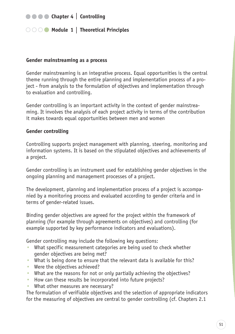

#### **Module 1 Theoretical Principles**

#### **Gender mainstreaming as a process**

Gender mainstreaming is an integrative process. Equal opportunities is the central theme running through the entire planning and implementation process of a project - from analysis to the formulation of objectives and implementation through to evaluation and controlling.

Gender controlling is an important activity in the context of gender mainstreaming. It involves the analysis of each project activity in terms of the contribution it makes towards equal opportunities between men and women

#### **Gender controlling**

Controlling supports project management with planning, steering, monitoring and information systems. It is based on the stipulated objectives and achievements of a project.

Gender controlling is an instrument used for establishing gender objectives in the ongoing planning and management processes of a project.

The development, planning and implementation process of a project is accompanied by a monitoring process and evaluated according to gender criteria and in terms of gender-related issues.

Binding gender objectives are agreed for the project within the framework of planning (for example through agreements on objectives) and controlling (for example supported by key performance indicators and evaluations).

Gender controlling may include the following key questions:

- What specific measurement categories are being used to check whether gender objectives are being met?
- What is being done to ensure that the relevant data is available for this?
- Were the objectives achieved?
- What are the reasons for not or only partially achieving the objectives?
- How can these results be incorporated into future projects?
- What other measures are necessary?

The formulation of verifiable objectives and the selection of appropriate indicators for the measuring of objectives are central to gender controlling (cf. Chapters 2.1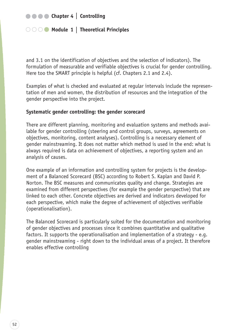

# **Module 1 Theoretical Principles**

and 3.1 on the identification of objectives and the selection of indicators). The formulation of measurable and verifiable objectives is crucial for gender controlling. Here too the SMART principle is helpful (cf. Chapters 2.1 and 2.4).

Examples of what is checked and evaluated at regular intervals include the representation of men and women, the distribution of resources and the integration of the gender perspective into the project.

#### **Systematic gender controlling: the gender scorecard**

There are different planning, monitoring and evaluation systems and methods available for gender controlling (steering and control groups, surveys, agreements on objectives, monitoring, content analyses). Controlling is a necessary element of gender mainstreaming. It does not matter which method is used in the end: what is always required is data on achievement of objectives, a reporting system and an analysis of causes.

One example of an information and controlling system for projects is the development of a Balanced Scorecard (BSC) according to Robert S. Kaplan and David P. Norton. The BSC measures and communicates quality and change. Strategies are examined from different perspectives (for example the gender perspective) that are linked to each other. Concrete objectives are derived and indicators developed for each perspective, which make the degree of achievement of objectives verifiable (operationalisation).

The Balanced Scorecard is particularly suited for the documentation and monitoring of gender objectives and processes since it combines quantitative and qualitative factors. It supports the operationalisation and implementation of a strategy - e.g. gender mainstreaming - right down to the individual areas of a project. It therefore enables effective controlling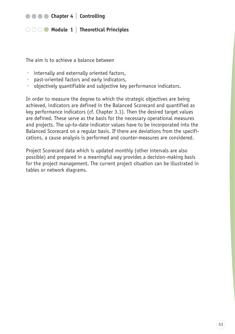

# **Module 1 Theoretical Principles**

The aim is to achieve a balance between

- internally and externally oriented factors,
- past-oriented factors and early indicators,
- objectively quantifiable and subjective key performance indicators.

In order to measure the degree to which the strategic objectives are being achieved, indicators are defined in the Balanced Scorecard and quantified as key performance indicators (cf. Chapter 3.1). Then the desired target values are defined. These serve as the basis for the necessary operational measures and projects. The up-to-date indicator values have to be incorporated into the Balanced Scorecard on a regular basis. If there are deviations from the specifications, a cause analysis is performed and counter-measures are considered.

Project Scorecard data which is updated monthly (other intervals are also possible) and prepared in a meaningful way provides a decision-making basis for the project management. The current project situation can be illustrated in tables or network diagrams.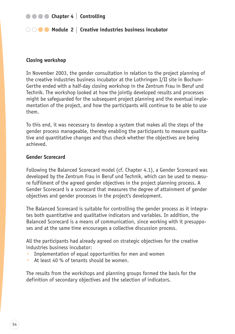# **C**  $\bullet$  **Chapter 4** Controlling

#### **Module 2 Creative industries business incubator**

#### **Closing workshop**

In November 2003, the gender consultation in relation to the project planning of the creative industries business incubator at the Lothringen I/II site in Bochum-Gerthe ended with a half-day closing workshop in the Zentrum Frau in Beruf und Technik. The workshop looked at how the jointly developed results and processes might be safeguarded for the subsequent project planning and the eventual implementation of the project, and how the participants will continue to be able to use them.

To this end, it was necessary to develop a system that makes all the steps of the gender process manageable, thereby enabling the participants to measure qualitative and quantitative changes and thus check whether the objectives are being achieved.

#### **Gender Scorecard**

Following the Balanced Scorecard model (cf. Chapter 4.1), a Gender Scorecard was developed by the Zentrum Frau in Beruf und Technik, which can be used to measure fulfilment of the agreed gender objectives in the project planning process. A Gender Scorecard is a scorecard that measures the degree of attainment of gender objectives and gender processes in the project's development.

The Balanced Scorecard is suitable for controlling the gender process as it integrates both quantitative and qualitative indicators and variables. In addition, the Balanced Scorecard is a means of communication, since working with it presupposes and at the same time encourages a collective discussion process.

All the participants had already agreed on strategic objectives for the creative industries business incubator:

- Implementation of equal opportunities for men and women
- At least 40 % of tenants should be women.

The results from the workshops and planning groups formed the basis for the definition of secondary objectives and the selection of indicators.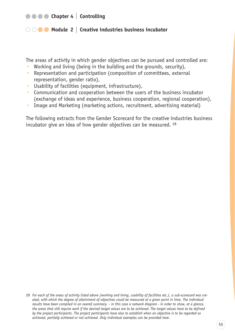# **Chapter 4 Controlling**

#### **Module 2 Creative industries business incubator**

The areas of activity in which gender objectives can be pursued and controlled are:

- Working and living (being in the building and the grounds, security),
- Representation and participation (composition of committees, external representation, gender ratio),
- Usability of facilities (equipment, infrastructure),
- Communication and cooperation between the users of the business incubator (exchange of ideas and experience, business cooperation, regional cooperation),
- Image and Marketing (marketing actions, recruitment, advertising material)

The following extracts from the Gender Scorecard for the creative industries business incubator give an idea of how gender objectives can be measured. <sup>28</sup>

*<sup>28</sup> For each of the areas of activity listed above (working and living, usability of facilities etc.), a sub-scorecard was created, with which the degree of attainment of objectives could be measured at a given point in time. The individual results have been compiled in an overall summary - in this case a network diagram - in order to show, at a glance, the areas that still require work if the desired target values are to be achieved. The target values have to be defined by the project participants. The project participants have also to establish when an objective is to be regarded as achieved, partially achieved or not achieved. Only individual examples can be provided here.*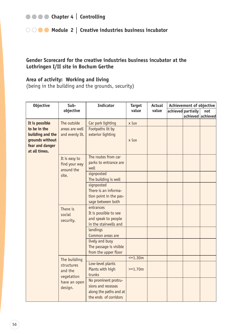# **C**  $\bullet$  **Chapter 4** Controlling

 $\circ$  **● ● Module 2 | Creative industries business incubator** 

#### **Gender Scorecard for the creative industries business incubator at the Lothringen I/II site in Bochum Gerthe**

# **Area of activity: Working and living**

(being in the building and the grounds, security)

| <b>Objective</b>                                                               | Sub-<br>objective           | <b>Indicator</b>                                                                              | <b>Target</b><br>value | <b>Actual</b><br>value | Achievement of objective<br>achieved partially | not |
|--------------------------------------------------------------------------------|-----------------------------|-----------------------------------------------------------------------------------------------|------------------------|------------------------|------------------------------------------------|-----|
|                                                                                |                             |                                                                                               |                        |                        | achieved achieved                              |     |
| It is possible                                                                 | The outside                 | Car park lighting                                                                             | $x$ lux                |                        |                                                |     |
| to be in the                                                                   | areas are well              | Footpaths lit by                                                                              |                        |                        |                                                |     |
| building and the                                                               | and evenly lit.             | exterior lighting                                                                             |                        |                        |                                                |     |
| grounds without                                                                |                             |                                                                                               | $x \, \text{lux}$      |                        |                                                |     |
| fear and danger                                                                |                             |                                                                                               |                        |                        |                                                |     |
| at all times.                                                                  |                             | The routes from car                                                                           |                        |                        |                                                |     |
|                                                                                | It is easy to               | parks to entrance are                                                                         |                        |                        |                                                |     |
|                                                                                | find your way<br>around the | well                                                                                          |                        |                        |                                                |     |
|                                                                                | site.                       | signposted                                                                                    |                        |                        |                                                |     |
|                                                                                |                             | The building is well                                                                          |                        |                        |                                                |     |
|                                                                                |                             | signposted                                                                                    |                        |                        |                                                |     |
|                                                                                |                             | There is an informa-                                                                          |                        |                        |                                                |     |
|                                                                                |                             | tion point in the pas-<br>sage between both                                                   |                        |                        |                                                |     |
|                                                                                |                             | entrances                                                                                     |                        |                        |                                                |     |
|                                                                                | There is<br>social          | It is possible to see                                                                         |                        |                        |                                                |     |
|                                                                                | security.                   | and speak to people                                                                           |                        |                        |                                                |     |
|                                                                                |                             | in the stairwells and                                                                         |                        |                        |                                                |     |
|                                                                                |                             | landings                                                                                      |                        |                        |                                                |     |
|                                                                                |                             | Common areas are                                                                              |                        |                        |                                                |     |
|                                                                                |                             | lively and busy                                                                               |                        |                        |                                                |     |
| The building<br>structures<br>and the<br>vegetation<br>have an open<br>design. |                             | The passage is visible                                                                        |                        |                        |                                                |     |
|                                                                                |                             | from the upper floor                                                                          |                        |                        |                                                |     |
|                                                                                |                             | $=1.30m$                                                                                      |                        |                        |                                                |     |
|                                                                                |                             | Low-level plants<br>Plants with high<br>trunks                                                | $>=1.70m$              |                        |                                                |     |
|                                                                                |                             | No prominent protru-<br>sions and recesses<br>along the paths and at<br>the ends of corridors |                        |                        |                                                |     |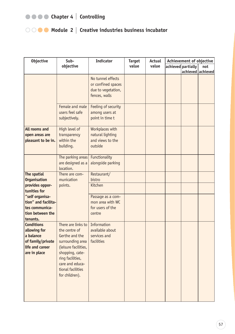# **Chapter 4 | Controlling**

# **Module 2 Creative industries business incubator**

| <b>Objective</b>                                                                                                                  | Sub-<br>objective                                                                                                                                                                                  | <b>Indicator</b>                                                                              | <b>Target</b><br>value | Actual<br>value | Achievement of objective<br>achieved partially | not |
|-----------------------------------------------------------------------------------------------------------------------------------|----------------------------------------------------------------------------------------------------------------------------------------------------------------------------------------------------|-----------------------------------------------------------------------------------------------|------------------------|-----------------|------------------------------------------------|-----|
|                                                                                                                                   |                                                                                                                                                                                                    |                                                                                               |                        |                 | achieved achieved                              |     |
|                                                                                                                                   |                                                                                                                                                                                                    | No tunnel effects<br>or confined spaces<br>due to vegetation,<br>fences, walls                |                        |                 |                                                |     |
|                                                                                                                                   | Female and male<br>users feel safe<br>subjectively.                                                                                                                                                | Feeling of security<br>among users at<br>point in time t                                      |                        |                 |                                                |     |
| All rooms and<br>open areas are<br>pleasant to be in.                                                                             | High level of<br>transparency<br>within the<br>building.                                                                                                                                           | Workplaces with<br>natural lighting<br>and views to the<br>outside                            |                        |                 |                                                |     |
|                                                                                                                                   | The parking areas<br>are designed as a<br>location.                                                                                                                                                | Functionality<br>alongside parking                                                            |                        |                 |                                                |     |
| The spatial<br><b>Organisation</b><br>provides oppor-<br>tunities for<br>"self organisa-<br>tion" and facilita-<br>tes communica- | There are com-<br>munication<br>points.                                                                                                                                                            | Restaurant/<br>bistro<br>Kitchen<br>Passage as a com-<br>mon area with WC<br>for users of the |                        |                 |                                                |     |
| tion between the<br>tenants.                                                                                                      |                                                                                                                                                                                                    | centre                                                                                        |                        |                 |                                                |     |
| <b>Conditions</b><br>allowing for<br>a balance<br>of family/private<br>life and career<br>are in place                            | There are links to<br>the centre of<br>Gerthe and the<br>surrounding area<br>(leisure facilities,<br>shopping, cate-<br>ring facilities,<br>care and educa-<br>tional facilities<br>for children). | Information<br>available about<br>services and<br>facilities                                  |                        |                 |                                                |     |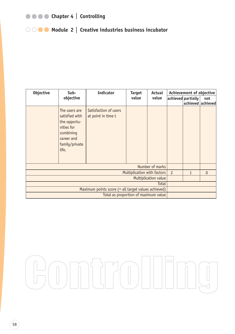# **C**  $\bullet$  **Chapter 4** Controlling

**Module 2 Creative industries business incubator**

| <b>Objective</b>                                    | Sub-                                                                                                                | <b>Indicator</b>                            | <b>Target</b> | <b>Actual</b><br>value |   | Achievement of objective |     |
|-----------------------------------------------------|---------------------------------------------------------------------------------------------------------------------|---------------------------------------------|---------------|------------------------|---|--------------------------|-----|
|                                                     | objective                                                                                                           |                                             | value         |                        |   | achieved partially       | not |
|                                                     |                                                                                                                     |                                             |               |                        |   | achieved achieved        |     |
|                                                     | The users are<br>satisfied with<br>the opportu-<br>nities for<br>combining<br>career and<br>family/private<br>life. | Satisfaction of users<br>at point in time t |               |                        |   |                          |     |
| Number of marks                                     |                                                                                                                     |                                             |               |                        |   |                          |     |
| Multiplication with factors                         |                                                                                                                     |                                             |               | $\overline{c}$         | 1 | $\Omega$                 |     |
| Multiplication value                                |                                                                                                                     |                                             |               |                        |   |                          |     |
| Total                                               |                                                                                                                     |                                             |               |                        |   |                          |     |
| Maximum points score (= all target values achieved) |                                                                                                                     |                                             |               |                        |   |                          |     |
| Total as proportion of maximum value                |                                                                                                                     |                                             |               |                        |   |                          |     |

# Gontrolling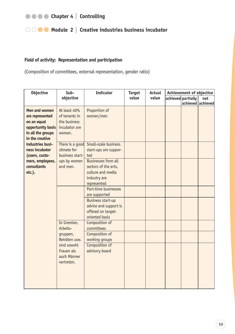

**Module 2 Creative industries business incubator**

#### **Field of activity: Representation and participation**

(Composition of committees, external representation, gender ratio)

| <b>Objective</b>                                                                                                       | Sub-                                                                                                   | <b>Indicator</b>                                                                          | <b>Target</b> | Actual | Achievement of objective                |     |
|------------------------------------------------------------------------------------------------------------------------|--------------------------------------------------------------------------------------------------------|-------------------------------------------------------------------------------------------|---------------|--------|-----------------------------------------|-----|
|                                                                                                                        | objective                                                                                              |                                                                                           | value         | value  | achieved partially<br>achieved achieved | not |
| Men and women<br>are represented<br>on an equal<br>opportunity basis<br>in all the groups<br>women.<br>in the creative | At least 40%<br>of tenants in<br>the business<br>incubator are                                         | Proportion of<br>women/men                                                                |               |        |                                         |     |
| industries busi-<br>ness incubator<br>(users, custo-                                                                   | There is a good<br>climate for<br>business start-                                                      | Small-scale business<br>start-ups are suppor-<br>ted                                      |               |        |                                         |     |
| mers, employees,<br>ups by women<br>consultants<br>and men.<br>etc.).                                                  | <b>Businesses from all</b><br>sectors of the arts,<br>culture and media<br>industry are<br>represented |                                                                                           |               |        |                                         |     |
|                                                                                                                        |                                                                                                        | Part-time businesses<br>are supported                                                     |               |        |                                         |     |
|                                                                                                                        |                                                                                                        | <b>Business start-up</b><br>advice and support is<br>offered on target-<br>oriented basis |               |        |                                         |     |
|                                                                                                                        | In Gremien,<br>Arbeits-                                                                                | Composition of<br>committees                                                              |               |        |                                         |     |
|                                                                                                                        | qruppen,<br>Beiräten usw.                                                                              | Composition of<br>working groups                                                          |               |        |                                         |     |
|                                                                                                                        | sind sowohl<br>Frauen als<br>auch Männer<br>vertreten.                                                 | Composition of<br>advisory board                                                          |               |        |                                         |     |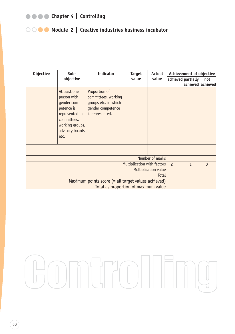# **C Chapter 4 Controlling**

# **Module 2 Creative industries business incubator**

| <b>Objective</b>                                    | <b>Indicator</b><br>Sub-                                                                                                                |                                                                                                      | <b>Target</b>  | Actual<br>value | Achievement of objective |                                         |     |
|-----------------------------------------------------|-----------------------------------------------------------------------------------------------------------------------------------------|------------------------------------------------------------------------------------------------------|----------------|-----------------|--------------------------|-----------------------------------------|-----|
|                                                     | objective                                                                                                                               |                                                                                                      | value          |                 |                          | achieved partially<br>achieved achieved | not |
|                                                     | At least one<br>person with<br>qender com-<br>petence is<br>represented in<br>committees,<br>working groups,<br>advisory boards<br>etc. | Proportion of<br>committees, working<br>groups etc. in which<br>gender competence<br>is represented. |                |                 |                          |                                         |     |
|                                                     |                                                                                                                                         |                                                                                                      |                |                 |                          |                                         |     |
| Number of marks                                     |                                                                                                                                         |                                                                                                      |                |                 |                          |                                         |     |
| Multiplication with factors                         |                                                                                                                                         |                                                                                                      | $\overline{c}$ | 1               | $\Omega$                 |                                         |     |
| Multiplication value                                |                                                                                                                                         |                                                                                                      |                |                 |                          |                                         |     |
| Total                                               |                                                                                                                                         |                                                                                                      |                |                 |                          |                                         |     |
| Maximum points score (= all target values achieved) |                                                                                                                                         |                                                                                                      |                |                 |                          |                                         |     |
| Total as proportion of maximum value                |                                                                                                                                         |                                                                                                      |                |                 |                          |                                         |     |

# Gontrolling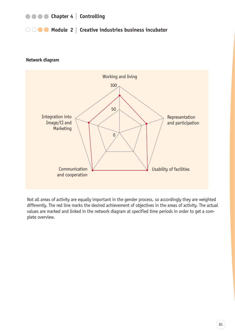

#### **Network diagram**



Not all areas of activity are equally important in the gender process, so accordingly they are weighted differently. The red line marks the desired achievement of objectives in the areas of activity. The actual values are marked and linked in the network diagram at specified time periods in order to get a complete overview.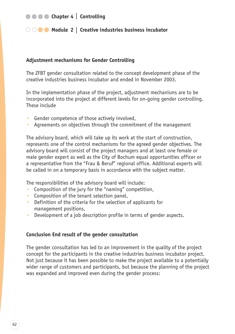

#### **Module 2 Creative industries business incubator**

#### **Adjustment mechanisms for Gender Controlling**

The ZFBT gender consultation related to the concept development phase of the creative industries business incubator and ended in November 2003.

In the implementation phase of the project, adjustment mechanisms are to be incorporated into the project at different levels for on-going gender controlling. These include

- Gender competence of those actively involved,
- Agreements on objectives through the commitment of the management

The advisory board, which will take up its work at the start of construction, represents one of the control mechanisms for the agreed gender objectives. The advisory board will consist of the project managers and at least one female or male gender expert as well as the City of Bochum equal opportunities officer or a representative from the "Frau & Beruf" regional office. Additional experts will be called in on a temporary basis in accordance with the subject matter.

The responsibilities of the advisory board will include:

- Composition of the jury for the "naming" competition,
- Composition of the tenant selection panel,
- Definition of the criteria for the selection of applicants for management positions,
- Development of a job description profile in terms of gender aspects.

#### **Conclusion End result of the gender consultation**

The gender consultation has led to an improvement in the quality of the project concept for the participants in the creative industries business incubator project. Not just because it has been possible to make the project available to a potentially wider range of customers and participants, but because the planning of the project was expanded and improved even during the gender process: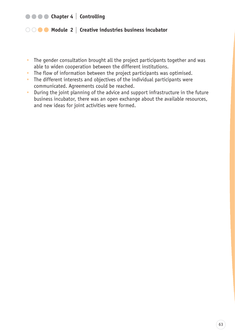

#### $\circ$  **● ● Module 2 | Creative industries business incubator**

- The gender consultation brought all the project participants together and was able to widen cooperation between the different institutions.
- The flow of information between the project participants was optimised.
- The different interests and objectives of the individual participants were communicated. Agreements could be reached.
- During the joint planning of the advice and support infrastructure in the future business incubator, there was an open exchange about the available resources, and new ideas for joint activities were formed.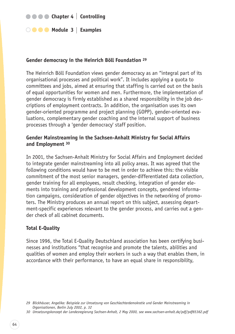

#### **Gender democracy in the Heinrich Böll Foundation 29**

The Heinrich Böll Foundation views gender democracy as an "integral part of its organisational processes and political work". It includes applying a quota to committees and jobs, aimed at ensuring that staffing is carried out on the basis of equal opportunities for women and men. Furthermore, the implementation of gender democracy is firmly established as a shared responsibility in the job descriptions of employment contracts. In addition, the organisation uses its own gender-oriented programme and project planning (GOPP), gender-oriented evaluations, complementary gender coaching and the internal support of business processes through a 'gender democracy' staff position.

#### **Gender Mainstreaming in the Sachsen-Anhalt Ministry for Social Affairs and Employment 30**

In 2001, the Sachsen-Anhalt Ministry for Social Affairs and Employment decided to integrate gender mainstreaming into all policy areas. It was agreed that the following conditions would have to be met in order to achieve this: the visible commitment of the most senior managers, gender-differentiated data collection, gender training for all employees, result checking, integration of gender elements into training and professional development concepts, gendered information campaigns, consideration of gender objectives in the networking of promoters. The Ministry produces an annual report on this subject, assessing department-specific experiences relevant to the gender process, and carries out a gender check of all cabinet documents.

#### **Total E-Quality**

Since 1996, the Total E-Quality Deutschland association has been certifying businesses and institutions "that recognise and promote the talents, abilities and qualities of women and employ their workers in such a way that enables them, in accordance with their performance, to have an equal share in responsibility,

*29 Blickhäuser, Angelika: Beispiele zur Umsetzung von Geschlechterdemokratie und Gender Mainstreaming in Organisationen, Berlin July 2002, p. 32*

*30 Umsetzungskonzept der Landesregierung Sachsen-Anhalt, 2 May 2000, see www.sachsen-anhalt.de/pdf/pdf65362.pdf*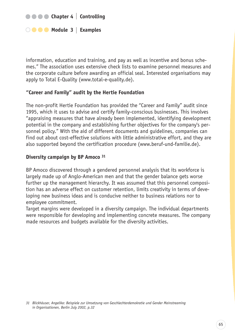

information, education and training, and pay as well as incentive and bonus schemes." The association uses extensive check lists to examine personnel measures and the corporate culture before awarding an official seal. Interested organisations may apply to Total E-Quality (www.total-e-quality.de).

#### **"Career and Family" audit by the Hertie Foundation**

The non-profit Hertie Foundation has provided the "Career and Family" audit since 1995, which it uses to advise and certify family-conscious businesses. This involves "appraising measures that have already been implemented, identifying development potential in the company and establishing further objectives for the company's personnel policy." With the aid of different documents and guidelines, companies can find out about cost-effective solutions with little administrative effort, and they are also supported beyond the certification procedure (www.beruf-und-familie.de).

#### **Diversity campaign by BP Amoco 31**

BP Amoco discovered through a gendered personnel analysis that its workforce is largely made up of Anglo-American men and that the gender balance gets worse further up the management hierarchy. It was assumed that this personnel composition has an adverse effect on customer retention, limits creativity in terms of developing new business ideas and is conducive neither to business relations nor to employee commitment.

Target margins were developed in a diversity campaign. The individual departments were responsible for developing and implementing concrete measures. The company made resources and budgets available for the diversity activities.

*31 Blickhäuser, Angelika: Beispiele zur Umsetzung von Geschlechterdemokratie und Gender Mainstreaming in Organisationen, Berlin July 2002, p.32*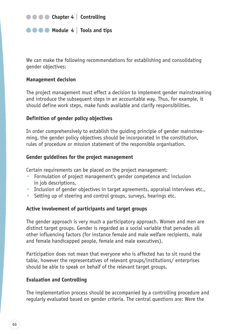We can make the following recommendations for establishing and consolidating gender objectives:

#### **Management decision**

The project management must effect a decision to implement gender mainstreaming and introduce the subsequent steps in an accountable way. Thus, for example, it should define work steps, make funds available and clarify responsibilities.

#### **Definition of gender policy objectives**

In order comprehensively to establish the guiding principle of gender mainstreaming, the gender policy objectives should be incorporated in the constitution, rules of procedure or mission statement of the responsible organisation.

#### **Gender guidelines for the project management**

Certain requirements can be placed on the project management:

- Formulation of project management's gender competence and inclusion in job descriptions,
- Inclusion of gender objectives in target agreements, appraisal interviews etc.,
- Setting up of steering and control groups, surveys, hearings etc.

#### **Active involvement of participants and target groups**

The gender approach is very much a participatory approach. Women and men are distinct target groups. Gender is regarded as a social variable that pervades all other influencing factors (for instance female and male welfare recipients, male and female handicapped people, female and male executives).

Participation does not mean that everyone who is affected has to sit round the table, however the representatives of relevant groups/institutions/ enterprises should be able to speak on behalf of the relevant target groups.

#### **Evaluation and Controlling**

The implementation process should be accompanied by a controlling procedure and regularly evaluated based on gender criteria. The central questions are: Were the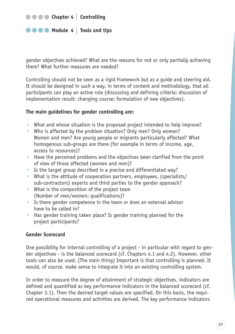

gender objectives achieved? What are the reasons for not or only partially achieving them? What further measures are needed?

Controlling should not be seen as a rigid framework but as a guide and steering aid. It should be designed in such a way, in terms of content and methodology, that all participants can play an active role (discussing and defining criteria; discussion of implementation result; changing course; formulation of new objectives).

#### **The main guidelines for gender controlling are:**

- What and whose situation is the proposed project intended to help improve?
- Who is affected by the problem situation? Only men? Only women? Women and men? Are young people or migrants particularly affected? What homogenous sub-groups are there (for example in terms of income, age, access to resources)?
- Have the perceived problems and the objectives been clarified from the point of view of those affected (women and men)?
- Is the target group described in a precise and differentiated way?
- What is the attitude of cooperation partners, employees, (specialists/ sub-contractors) experts and third parties to the gender approach?
- What is the composition of the project team (Number of men/women; qualifications)?
- Is there gender competence in the team or does an external advisor have to be called in?
- Has gender training taken place? Is gender training planned for the project participants?

#### **Gender Scorecard**

One possibility for internal controlling of a project - in particular with regard to gender objectives - is the balanced scorecard (cf. Chapters 4.1 and 4.2). However, other tools can also be used. (The main thing) Important is that controlling is planned. It would, of course, make sense to integrate it into an existing controlling system.

In order to measure the degree of attainment of strategic objectives, indicators are defined and quantified as key performance indicators in the balanced scorecard (cf. Chapter 3.1). Then the desired target values are specified. On this basis, the required operational measures and activities are derived. The key performance indicators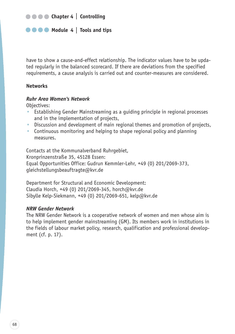

have to show a cause-and-effect relationship. The indicator values have to be updated regularly in the balanced scorecard. If there are deviations from the specified requirements, a cause analysis is carried out and counter-measures are considered.

#### **Networks**

#### *Ruhr Area Women's Network*

Objectives:

- Establishing Gender Mainstreaming as a guiding principle in regional processes and in the implementation of projects,
- Discussion and development of main regional themes and promotion of projects,
- Continuous monitoring and helping to shape regional policy and planning measures.

Contacts at the Kommunalverband Ruhrgebiet, Kronprinzenstraße 35, 45128 Essen: Equal Opportunities Office: Gudrun Kemmler-Lehr, +49 (0) 201/2069-373, gleichstellungsbeauftragte@kvr.de

Department for Structural and Economic Development: Claudia Horch, +49 (0) 201/2069-345, horch@kvr.de Sibylle Kelp-Siekmann, +49 (0) 201/2069-651, kelp@kvr.de

#### *NRW Gender Network*

The NRW Gender Network is a cooperative network of women and men whose aim is to help implement gender mainstreaming (GM). Its members work in institutions in the fields of labour market policy, research, qualification and professional development (cf. p. 17).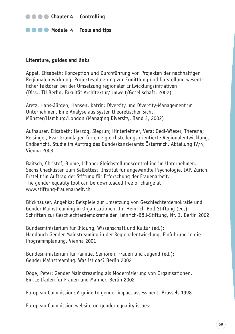

#### **Literature, guides and links**

Appel, Elisabeth: Konzeption und Durchführung von Projekten der nachhaltigen Regionalentwicklung. Projektevaluierung zur Ermittlung und Darstellung wesentlicher Faktoren bei der Umsetzung regionaler Entwicklungsinitiativen (Diss., TU Berlin, Fakultät Architektur/Umwelt/Gesellschaft, 2002)

Aretz, Hans-Jürgen; Hansen, Katrin: Diversity und Diversity-Management im Unternehmen. Eine Analyse aus systemtheoretischer Sicht. Münster/Hamburg/London (Managing Diversity, Band 3, 2002)

Aufhauser, Elisabeth; Herzog, Siegrun; Hinterleitner, Vera; Oedl-Wieser, Theresia; Reisinger, Eva: Grundlagen für eine gleichstellungsorientierte Regionalentwicklung. Endbericht. Studie im Auftrag des Bundeskanzleramts Österreich, Abteilung IV/4, Vienna 2003

Baitsch, Christof; Blume, Liliane: Gleichstellungscontrolling im Unternehmen. Sechs Checklisten zum Selbsttest. Institut für angewandte Psychologie, IAP, Zürich. Erstellt im Auftrag der Stiftung für Erforschung der Frauenarbeit. The gender equality tool can be downloaded free of charge at www.stiftung-frauenarbeit.ch

Blickhäuser, Angelika: Beispiele zur Umsetzung von Geschlechterdemokratie und Gender Mainstreaming in Organisationen. In: Heinrich-Böll-Stiftung (ed.): Schriften zur Geschlechterdemokratie der Heinrich-Böll-Stiftung, Nr. 3, Berlin 2002

Bundesministerium für Bildung, Wissenschaft und Kultur (ed.): Handbuch Gender Mainstreaming in der Regionalentwicklung. Einführung in die Programmplanung. Vienna 2001

Bundesministerium für Familie, Senioren, Frauen und Jugend (ed.): Gender Mainstreaming. Was ist das? Berlin 2002

Döge, Peter: Gender Mainstreaming als Modernisierung von Organisationen. Ein Leitfaden für Frauen und Männer. Berlin 2002

European Commission: A guide to gender impact assessment. Brussels 1998

European Commission website on gender equality issues: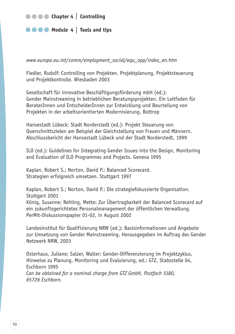

*www.europa.eu.int/comm/employment\_social/equ\_opp/index\_en.htm*

Fiedler, Rudolf: Controlling von Projekten. Projektplanung, Projektsteuerung und Projektkontrolle. Wiesbaden 2003

Gesellschaft für innovative Beschäftigungsförderung mbH (ed.): Gender Mainstreaming in betrieblichen Beratungsprojekten. Ein Leitfaden für BeraterInnen und EntscheiderInnen zur Entwicklung und Beurteilung von Projekten in der arbeitsorientierten Modernisierung. Bottrop

Hansestadt Lübeck; Stadt Norderstedt (ed.): Projekt Steuerung von Querschnittszielen am Beispiel der Gleichstellung von Frauen und Männern. Abschlussbericht der Hansestadt Lübeck und der Stadt Norderstedt. 1999

ILO (ed.): Guidelines for Integrating Gender Issues into the Design, Monitoring and Evaluation of ILO Programmes and Projects. Geneva 1995

Kaplan, Robert S.; Norton, David P.: Balanced Scorecard. Strategien erfolgreich umsetzen. Stuttgart 1997

Kaplan, Robert S.; Norton, David P.: Die strategiefokussierte Organisation. Stuttgart 2001 König, Susanne; Rehling, Mette: Zur Übertragbarkeit der Balanced Scorecard auf ein zukunftsgerichtetes Personalmanagement der öffentlichen Verwaltung. PerMit-Diskussionspapier 01-02, in August 2002

Landesinstitut für Qualifizierung NRW (ed.): Basisinformationen und Angebote zur Umsetzung von Gender Mainstreaming. Herausgegeben im Auftrag des Gender Netzwerk NRW, 2003

Osterhaus, Juliane; Salzer, Walter: Gender-Differenzierung im Projektzyklus. Hinweise zu Planung, Monitoring und Evaluierung, ed.: GTZ, Stabsstelle 04, Eschborn 1995 *Can be obtained for a nominal charge from GTZ GmbH, Postfach 5180, 65726 Eschborn.*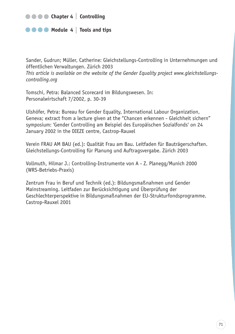

Sander, Gudrun; Müller, Catherine: Gleichstellungs-Controlling in Unternehmungen und öffentlichen Verwaltungen. Zürich 2003 *This article is available on the website of the Gender Equality project www.gleichstellungscontrolling.org*

Tomschi, Petra: Balanced Scorecard im Bildungswesen. In: Personalwirtschaft 7/2002, p. 30-39

Ulshöfer, Petra: Bureau for Gender Equality, International Labour Organization, Geneva; extract from a lecture given at the "Chancen erkennen - Gleichheit sichern" symposium: 'Gender Controlling am Beispiel des Europäischen Sozialfonds' on 24 January 2002 in the DIEZE centre, Castrop-Rauxel

Verein FRAU AM BAU (ed.): Qualität Frau am Bau. Leitfaden für Bauträgerschaften. Gleichstellungs-Controlling für Planung und Auftragsvergabe. Zürich 2003

Vollmuth, Hilmar J.: Controlling-Instrumente von A - Z. Planegg/Munich 2000 (WRS-Betriebs-Praxis)

Zentrum Frau in Beruf und Technik (ed.): Bildungsmaßnahmen und Gender Mainstreaming. Leitfaden zur Berücksichtigung und Überprüfung der Geschlechterperspektive in Bildungsmaßnahmen der EU-Strukturfondsprogramme. Castrop-Rauxel 2001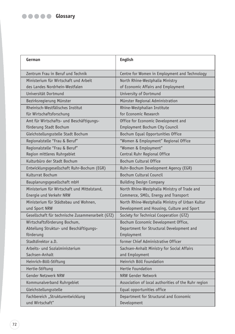| German                                              | <b>English</b>                                        |
|-----------------------------------------------------|-------------------------------------------------------|
| Zentrum Frau in Beruf und Technik                   | Centre for Women in Employment and Technology         |
| Ministerium für Wirtschaft und Arbeit               | North Rhine-Westphalia Ministry                       |
| des Landes Nordrhein-Westfalen                      | of Economic Affairs and Employment                    |
| Universität Dortmund                                | University of Dortmund                                |
| Bezirksregierung Münster                            | Münster Regional Administration                       |
| Rheinisch-Westfälisches Institut                    | Rhine-Westphalian Institute                           |
| für Wirtschaftsforschung                            | for Economic Research                                 |
| Amt für Wirtschafts- und Beschäftigungs-            | Office for Economic Development and                   |
| förderung Stadt Bochum                              | Employment Bochum City Council                        |
| Gleichstellungsstelle Stadt Bochum                  | Bochum Equal Opportunities Office                     |
| Regionalstelle "Frau & Beruf"                       | "Women & Employment" Regional Office                  |
| Regionalstelle "Frau & Beruf"                       | "Women & Employment"                                  |
| Region mittleres Ruhrgebiet                         | Central Ruhr Regional Office                          |
| Kulturbüro der Stadt Bochum                         | Bochum Cultural Office                                |
| Entwicklungsgesellschaft Ruhr-Bochum (EGR)          | Ruhr-Bochum Development Agency (EGR)                  |
| Kulturrat Bochum                                    | Bochum Cultural Council                               |
| Bauplanungsgesellschaft mbH                         | <b>Building Design Company</b>                        |
| Ministerium für Wirtschaft und Mittelstand,         | North Rhine-Westphalia Ministry of Trade and          |
| Energie und Verkehr NRW                             | Commerce, SMEs, Energy and Transport                  |
| Ministerium für Städtebau und Wohnen,               | North Rhine-Westphalia Ministry of Urban Kultur       |
| und Sport NRW                                       | Development and Housing, Culture and Sport            |
| Gesellschaft für technische Zusammenarbeit (GTZ)    | Society for Technical Cooperation (GTZ)               |
| Wirtschaftsförderung Bochum,                        | Bochum Economic Development Office,                   |
| Abteilung Struktur- und Beschäftigungs-             | Department for Structural Development and             |
| förderung                                           | Employment                                            |
| Stadtdirektor a.D.                                  | former Chief Administrative Officer                   |
| Arbeits- und Sozialministerium                      | Sachsen-Anhalt Ministry for Social Affairs            |
| Sachsen-Anhalt                                      | and Employment                                        |
| Heinrich-Böll-Stiftung                              | Heinrich Böll Foundation                              |
| Hertie-Stiftung                                     | Hertie Foundation                                     |
| <b>Gender Netzwerk NRW</b>                          | NRW Gender Network                                    |
| Kommunalverband Ruhrgebiet                          | Association of local authorities of the Ruhr region   |
| Gleichstellungsstelle                               | Equal opportunities office                            |
| Fachbereich "Strukturentwicklung<br>und Wirtschaft" | Department for Structural and Economic<br>Development |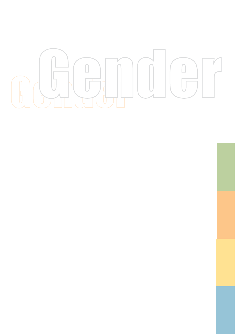